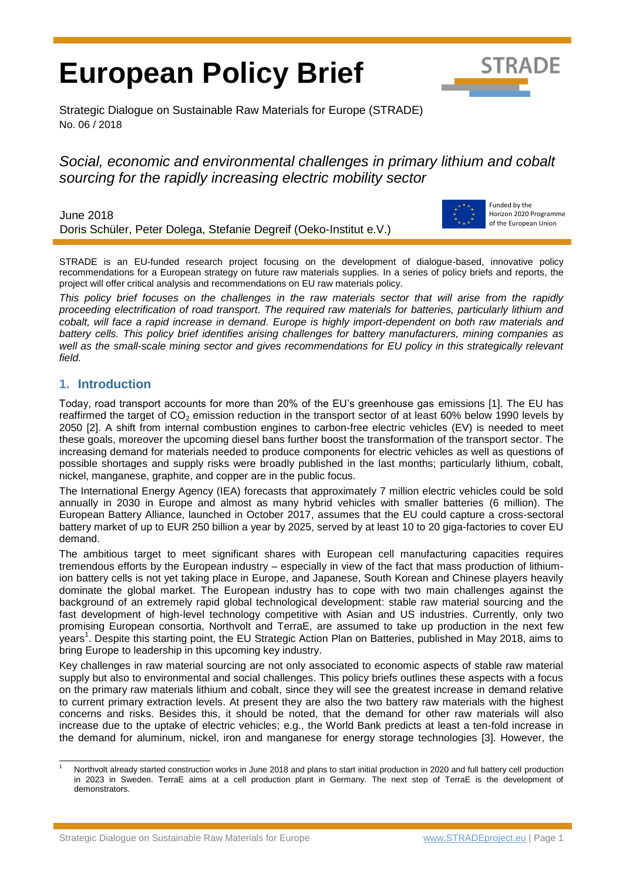# **European Policy Brief**



Strategic Dialogue on Sustainable Raw Materials for Europe (STRADE) No. 06 / 2018

# *Social, economic and environmental challenges in primary lithium and cobalt sourcing for the rapidly increasing electric mobility sector*

June 2018 Doris Schüler, Peter Dolega, Stefanie Degreif (Oeko-Institut e.V.)



Funded by the Horizon 2020 Programme of the European Union

STRADE is an EU-funded research project focusing on the development of dialogue-based, innovative policy recommendations for a European strategy on future raw materials supplies. In a series of policy briefs and reports, the project will offer critical analysis and recommendations on EU raw materials policy.

*This policy brief focuses on the challenges in the raw materials sector that will arise from the rapidly proceeding electrification of road transport. The required raw materials for batteries, particularly lithium and cobalt, will face a rapid increase in demand. Europe is highly import-dependent on both raw materials and battery cells. This policy brief identifies arising challenges for battery manufacturers, mining companies as well as the small-scale mining sector and gives recommendations for EU policy in this strategically relevant field.*

## **1. Introduction**

Today, road transport accounts for more than 20% of the EU's greenhouse gas emissions [1]. The EU has reaffirmed the target of  $CO<sub>2</sub>$  emission reduction in the transport sector of at least 60% below 1990 levels by 2050 [2]. A shift from internal combustion engines to carbon-free electric vehicles (EV) is needed to meet these goals, moreover the upcoming diesel bans further boost the transformation of the transport sector. The increasing demand for materials needed to produce components for electric vehicles as well as questions of possible shortages and supply risks were broadly published in the last months; particularly lithium, cobalt, nickel, manganese, graphite, and copper are in the public focus.

The International Energy Agency (IEA) forecasts that approximately 7 million electric vehicles could be sold annually in 2030 in Europe and almost as many hybrid vehicles with smaller batteries (6 million). The European Battery Alliance, launched in October 2017, assumes that the EU could capture a cross-sectoral battery market of up to EUR 250 billion a year by 2025, served by at least 10 to 20 giga-factories to cover EU demand.

The ambitious target to meet significant shares with European cell manufacturing capacities requires tremendous efforts by the European industry – especially in view of the fact that mass production of lithiumion battery cells is not yet taking place in Europe, and Japanese, South Korean and Chinese players heavily dominate the global market. The European industry has to cope with two main challenges against the background of an extremely rapid global technological development: stable raw material sourcing and the fast development of high-level technology competitive with Asian and US industries. Currently, only two promising European consortia, Northvolt and TerraE, are assumed to take up production in the next few years<sup>1</sup>. Despite this starting point, the EU Strategic Action Plan on Batteries, published in May 2018, aims to bring Europe to leadership in this upcoming key industry.

Key challenges in raw material sourcing are not only associated to economic aspects of stable raw material supply but also to environmental and social challenges. This policy briefs outlines these aspects with a focus on the primary raw materials lithium and cobalt, since they will see the greatest increase in demand relative to current primary extraction levels. At present they are also the two battery raw materials with the highest concerns and risks. Besides this, it should be noted, that the demand for other raw materials will also increase due to the uptake of electric vehicles; e.g., the World Bank predicts at least a ten-fold increase in the demand for aluminum, nickel, iron and manganese for energy storage technologies [3]. However, the

 $\overline{a}$ Northvolt already started construction works in June 2018 and plans to start initial production in 2020 and full battery cell production in 2023 in Sweden. TerraE aims at a cell production plant in Germany. The next step of TerraE is the development of demonstrators.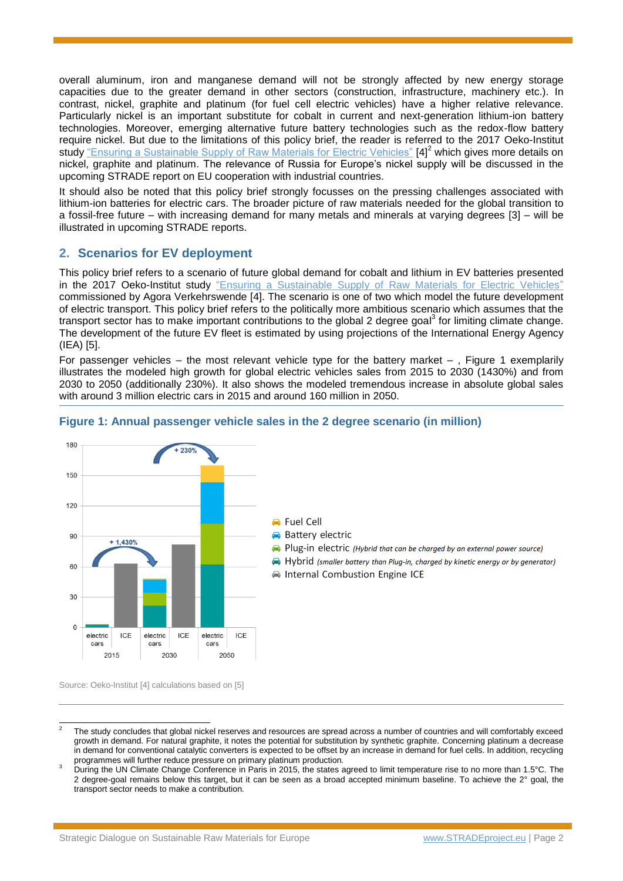overall aluminum, iron and manganese demand will not be strongly affected by new energy storage capacities due to the greater demand in other sectors (construction, infrastructure, machinery etc.). In contrast, nickel, graphite and platinum (for fuel cell electric vehicles) have a higher relative relevance. Particularly nickel is an important substitute for cobalt in current and next-generation lithium-ion battery technologies. Moreover, emerging alternative future battery technologies such as the redox-flow battery require nickel. But due to the limitations of this policy brief, the reader is referred to the 2017 [Oeko-Institut](https://www.agora-verkehrswende.de/fileadmin/Projekte/2017/Nachhaltige_Rohstoffversorgung_Elektromobilitaet/Agora_Verkehrswende_Rohstoffestrategien_EN_WEB.pdf)  [study](https://www.agora-verkehrswende.de/fileadmin/Projekte/2017/Nachhaltige_Rohstoffversorgung_Elektromobilitaet/Agora_Verkehrswende_Rohstoffestrategien_EN_WEB.pdf) ["Ensuring a Sustainable Supply of Raw Materials for Electric Vehicles"](https://www.agora-verkehrswende.de/fileadmin/Projekte/2017/Nachhaltige_Rohstoffversorgung_Elektromobilitaet/Agora_Verkehrswende_Rohstoffestrategien_EN_WEB.pdf) [4]<sup>2</sup> which gives more details on nickel, graphite and platinum. The relevance of Russia for Europe's nickel supply will be discussed in the upcoming STRADE report on EU cooperation with industrial countries.

It should also be noted that this policy brief strongly focusses on the pressing challenges associated with lithium-ion batteries for electric cars. The broader picture of raw materials needed for the global transition to a fossil-free future – with increasing demand for many metals and minerals at varying degrees [3] – will be illustrated in upcoming STRADE reports.

## <span id="page-1-1"></span>**2. Scenarios for EV deployment**

This policy brief refers to a scenario of future global demand for cobalt and lithium in EV batteries presented in the 2017 [Oeko-Institut study](https://www.agora-verkehrswende.de/fileadmin/Projekte/2017/Nachhaltige_Rohstoffversorgung_Elektromobilitaet/Agora_Verkehrswende_Rohstoffestrategien_EN_WEB.pdf) ["Ensuring a Sustainable Supply of Raw Materials for Electric Vehicles"](https://www.agora-verkehrswende.de/fileadmin/Projekte/2017/Nachhaltige_Rohstoffversorgung_Elektromobilitaet/Agora_Verkehrswende_Rohstoffestrategien_EN_WEB.pdf) commissioned by Agora Verkehrswende [4]. The scenario is one of two which model the future development of electric transport. This policy brief refers to the politically more ambitious scenario which assumes that the transport sector has to make important contributions to the global 2 degree goal<sup>3</sup> for limiting climate change. The development of the future EV fleet is estimated by using projections of the International Energy Agency (IEA) [5].

For passenger vehicles – the most relevant vehicle type for the battery market –, [Figure 1](#page-1-0) exemplarily illustrates the modeled high growth for global electric vehicles sales from 2015 to 2030 (1430%) and from 2030 to 2050 (additionally 230%). It also shows the modeled tremendous increase in absolute global sales with around 3 million electric cars in 2015 and around 160 million in 2050.



## <span id="page-1-0"></span>**Figure 1: Annual passenger vehicle sales in the 2 degree scenario (in million)**

Source: Oeko-Institut [4] calculations based on [5]

<sup>-</sup>2 The study concludes that global nickel reserves and resources are spread across a number of countries and will comfortably exceed growth in demand. For natural graphite, it notes the potential for substitution by synthetic graphite. Concerning platinum a decrease in demand for conventional catalytic converters is expected to be offset by an increase in demand for fuel cells. In addition, recycling

programmes will further reduce pressure on primary platinum production.<br><sup>3</sup> During the UN Climate Change Conference in Paris in 2015, the states agreed to limit temperature rise to no more than 1.5°C. The 2 degree-goal remains below this target, but it can be seen as a broad accepted minimum baseline. To achieve the  $2^{\circ}$  goal, the transport sector needs to make a contribution.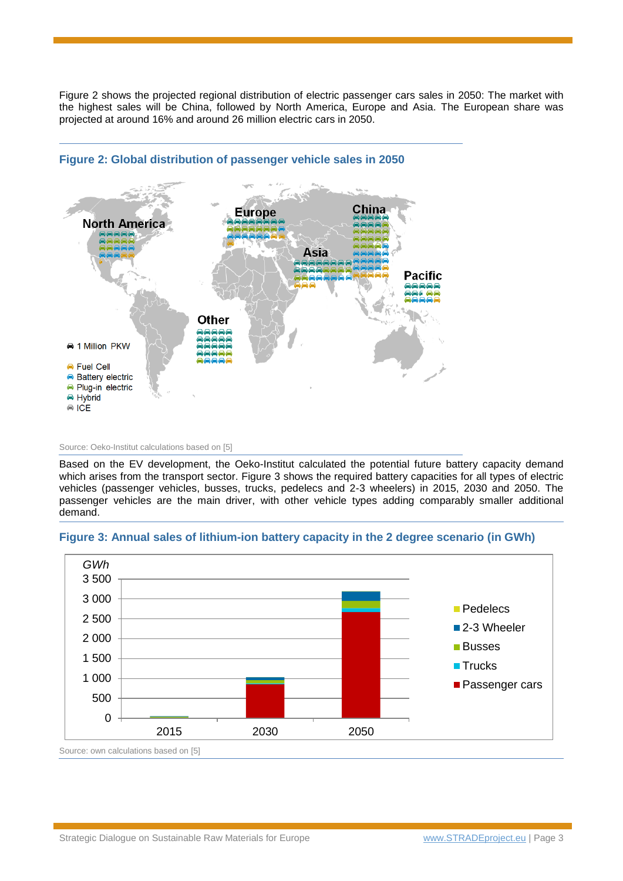[Figure 2](#page-2-0) shows the projected regional distribution of electric passenger cars sales in 2050: The market with the highest sales will be China, followed by North America, Europe and Asia. The European share was projected at around 16% and around 26 million electric cars in 2050.



## <span id="page-2-0"></span>**Figure 2: Global distribution of passenger vehicle sales in 2050**

Source: Oeko-Institut calculations based on [5]

Based on the EV development, the Oeko-Institut calculated the potential future battery capacity demand which arises from the transport sector. [Figure 3](#page-2-1) shows the required battery capacities for all types of electric vehicles (passenger vehicles, busses, trucks, pedelecs and 2-3 wheelers) in 2015, 2030 and 2050. The passenger vehicles are the main driver, with other vehicle types adding comparably smaller additional demand.

## <span id="page-2-1"></span>**Figure 3: Annual sales of lithium-ion battery capacity in the 2 degree scenario (in GWh)**

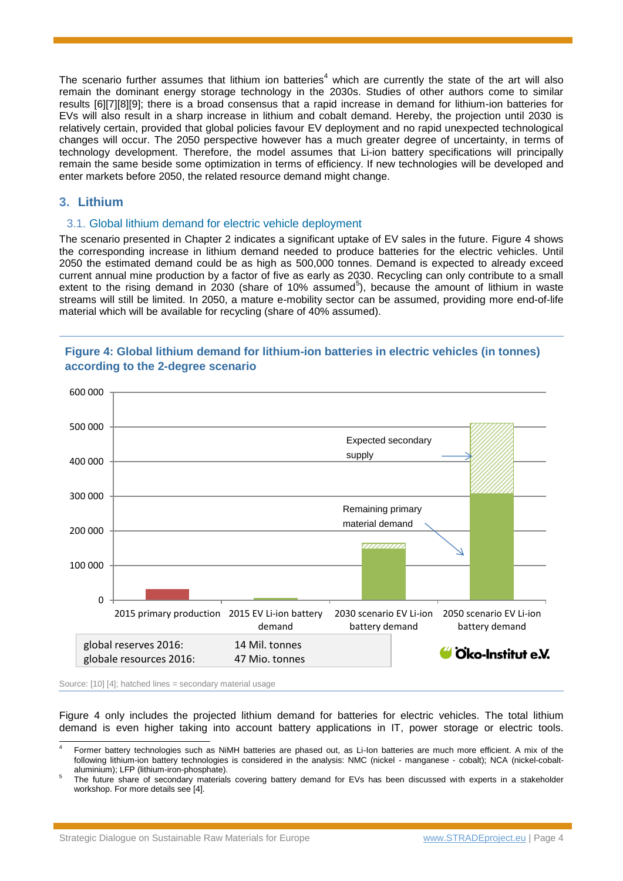The scenario further assumes that lithium ion batteries<sup>4</sup> which are currently the state of the art will also remain the dominant energy storage technology in the 2030s. Studies of other authors come to similar results [6][7][8][9]; there is a broad consensus that a rapid increase in demand for lithium-ion batteries for EVs will also result in a sharp increase in lithium and cobalt demand. Hereby, the projection until 2030 is relatively certain, provided that global policies favour EV deployment and no rapid unexpected technological changes will occur. The 2050 perspective however has a much greater degree of uncertainty, in terms of technology development. Therefore, the model assumes that Li-ion battery specifications will principally remain the same beside some optimization in terms of efficiency. If new technologies will be developed and enter markets before 2050, the related resource demand might change.

## **3. Lithium**

## 3.1. Global lithium demand for electric vehicle deployment

The scenario presented in Chapter [2](#page-1-1) indicates a significant uptake of EV sales in the future. [Figure 4](#page-3-0) shows the corresponding increase in lithium demand needed to produce batteries for the electric vehicles. Until 2050 the estimated demand could be as high as 500,000 tonnes. Demand is expected to already exceed current annual mine production by a factor of five as early as 2030. Recycling can only contribute to a small extent to the rising demand in  $2030$  (share of 10% assumed<sup>5</sup>), because the amount of lithium in waste streams will still be limited. In 2050, a mature e-mobility sector can be assumed, providing more end-of-life material which will be available for recycling (share of 40% assumed).



## <span id="page-3-1"></span><span id="page-3-0"></span>**Figure 4: Global lithium demand for lithium-ion batteries in electric vehicles (in tonnes) according to the 2-degree scenario**

Source: [10] [4]; hatched lines = secondary material usage

[Figure 4](#page-3-0) only includes the projected lithium demand for batteries for electric vehicles. The total lithium demand is even higher taking into account battery applications in IT, power storage or electric tools.

 $\overline{a}$ 4 Former battery technologies such as NiMH batteries are phased out, as Li-Ion batteries are much more efficient. A mix of the following lithium-ion battery technologies is considered in the analysis: NMC (nickel - manganese - cobalt); NCA (nickel-cobaltaluminium); LFP (lithium-iron-phosphate).

<sup>5</sup> The future share of secondary materials covering battery demand for EVs has been discussed with experts in a stakeholder workshop. For more details see [4].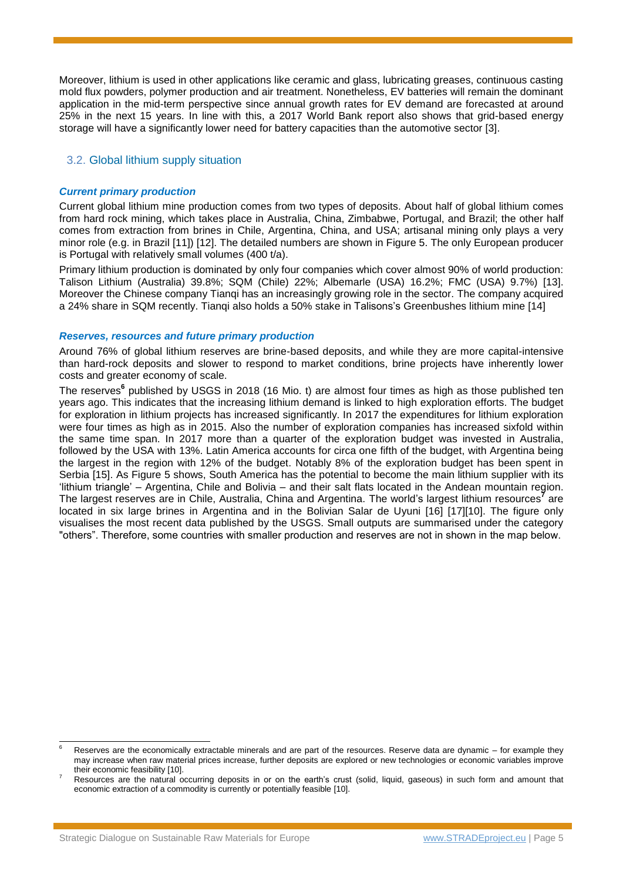Moreover, lithium is used in other applications like ceramic and glass, lubricating greases, continuous casting mold flux powders, polymer production and air treatment. Nonetheless, EV batteries will remain the dominant application in the mid-term perspective since annual growth rates for EV demand are forecasted at around 25% in the next 15 years. In line with this, a 2017 World Bank report also shows that grid-based energy storage will have a significantly lower need for battery capacities than the automotive sector [3].

## 3.2. Global lithium supply situation

#### *Current primary production*

Current global lithium mine production comes from two types of deposits. About half of global lithium comes from hard rock mining, which takes place in Australia, China, Zimbabwe, Portugal, and Brazil; the other half comes from extraction from brines in Chile, Argentina, China, and USA; artisanal mining only plays a very minor role (e.g. in Brazil [11]) [12]. The detailed numbers are shown in [Figure 5.](#page-5-0) The only European producer is Portugal with relatively small volumes (400 t/a).

Primary lithium production is dominated by only four companies which cover almost 90% of world production: Talison Lithium (Australia) 39.8%; SQM (Chile) 22%; Albemarle (USA) 16.2%; FMC (USA) 9.7%) [13]. Moreover the Chinese company Tianqi has an increasingly growing role in the sector. The company acquired a 24% share in SQM recently. Tianqi also holds a 50% stake in Talisons's Greenbushes lithium mine [14]

#### *Reserves, resources and future primary production*

Around 76% of global lithium reserves are brine-based deposits, and while they are more capital-intensive than hard-rock deposits and slower to respond to market conditions, brine projects have inherently lower costs and greater economy of scale.

The reserves**<sup>6</sup>** published by USGS in 2018 (16 Mio. t) are almost four times as high as those published ten years ago. This indicates that the increasing lithium demand is linked to high exploration efforts. The budget for exploration in lithium projects has increased significantly. In 2017 the expenditures for lithium exploration were four times as high as in 2015. Also the number of exploration companies has increased sixfold within the same time span. In 2017 more than a quarter of the exploration budget was invested in Australia, followed by the USA with 13%. Latin America accounts for circa one fifth of the budget, with Argentina being the largest in the region with 12% of the budget. Notably 8% of the exploration budget has been spent in Serbia [15]. As [Figure 5](#page-5-0) shows, South America has the potential to become the main lithium supplier with its 'lithium triangle' – Argentina, Chile and Bolivia – and their salt flats located in the Andean mountain region. The largest reserves are in Chile, Australia, China and Argentina. The world's largest lithium resources **7** are located in six large brines in Argentina and in the Bolivian Salar de Uyuni [16] [17][10]. The figure only visualises the most recent data published by the USGS. Small outputs are summarised under the category "others". Therefore, some countries with smaller production and reserves are not in shown in the map below.

 $\overline{a}$ Reserves are the economically extractable minerals and are part of the resources. Reserve data are dynamic – for example they may increase when raw material prices increase, further deposits are explored or new technologies or economic variables improve their economic feasibility [10].

<sup>7</sup> Resources are the natural occurring deposits in or on the earth's crust (solid, liquid, gaseous) in such form and amount that economic extraction of a commodity is currently or potentially feasible [10].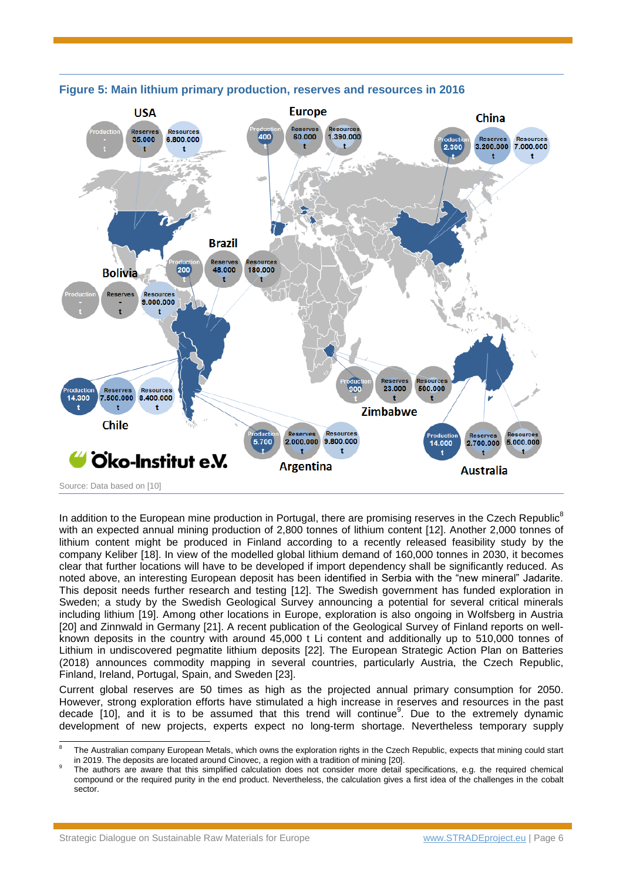

#### <span id="page-5-0"></span>**Figure 5: Main lithium primary production, reserves and resources in 2016**

In addition to the European mine production in Portugal, there are promising reserves in the Czech Republic<sup>8</sup> with an expected annual mining production of 2,800 tonnes of lithium content [12]. Another 2,000 tonnes of lithium content might be produced in Finland according to a recently released feasibility study by the company Keliber [18]. In view of the modelled global lithium demand of 160,000 tonnes in 2030, it becomes clear that further locations will have to be developed if import dependency shall be significantly reduced. As noted above, an interesting European deposit has been identified in Serbia with the "new mineral" Jadarite. This deposit needs further research and testing [12]. The Swedish government has funded exploration in Sweden; a study by the Swedish Geological Survey announcing a potential for several critical minerals including lithium [19]. Among other locations in Europe, exploration is also ongoing in Wolfsberg in Austria [20] and Zinnwald in Germany [21]. A recent publication of the Geological Survey of Finland reports on wellknown deposits in the country with around 45,000 t Li content and additionally up to 510,000 tonnes of Lithium in undiscovered pegmatite lithium deposits [22]. The European Strategic Action Plan on Batteries (2018) announces commodity mapping in several countries, particularly Austria, the Czech Republic, Finland, Ireland, Portugal, Spain, and Sweden [23].

Current global reserves are 50 times as high as the projected annual primary consumption for 2050. However, strong exploration efforts have stimulated a high increase in reserves and resources in the past decade [10], and it is to be assumed that this trend will continue<sup>9</sup>. Due to the extremely dynamic development of new projects, experts expect no long-term shortage. Nevertheless temporary supply

 $\overline{a}$ 8 The Australian company European Metals, which owns the exploration rights in the Czech Republic, expects that mining could start in 2019. The deposits are located around Cinovec, a region with a tradition of mining [20].

<sup>9</sup> The authors are aware that this simplified calculation does not consider more detail specifications, e.g. the required chemical compound or the required purity in the end product. Nevertheless, the calculation gives a first idea of the challenges in the cobalt sector.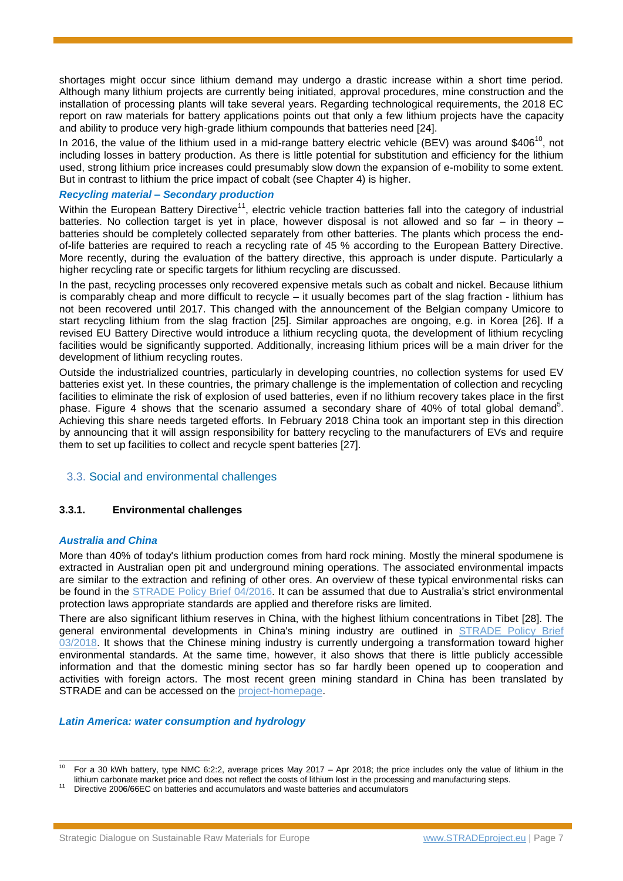shortages might occur since lithium demand may undergo a drastic increase within a short time period. Although many lithium projects are currently being initiated, approval procedures, mine construction and the installation of processing plants will take several years. Regarding technological requirements, the 2018 EC report on raw materials for battery applications points out that only a few lithium projects have the capacity and ability to produce very high-grade lithium compounds that batteries need [24].

In 2016, the value of the lithium used in a mid-range battery electric vehicle (BEV) was around \$406<sup>10</sup>, not including losses in battery production. As there is little potential for substitution and efficiency for the lithium used, strong lithium price increases could presumably slow down the expansion of e-mobility to some extent. But in contrast to lithium the price impact of cobalt (see Chapter 4) is higher.

#### *Recycling material – Secondary production*

Within the European Battery Directive<sup>11</sup>, electric vehicle traction batteries fall into the category of industrial batteries. No collection target is yet in place, however disposal is not allowed and so far – in theory – batteries should be completely collected separately from other batteries. The plants which process the endof-life batteries are required to reach a recycling rate of 45 % according to the European Battery Directive. More recently, during the evaluation of the battery directive, this approach is under dispute. Particularly a higher recycling rate or specific targets for lithium recycling are discussed.

In the past, recycling processes only recovered expensive metals such as cobalt and nickel. Because lithium is comparably cheap and more difficult to recycle – it usually becomes part of the slag fraction - lithium has not been recovered until 2017. This changed with the announcement of the Belgian company Umicore to start recycling lithium from the slag fraction [25]. Similar approaches are ongoing, e.g. in Korea [26]. If a revised EU Battery Directive would introduce a lithium recycling quota, the development of lithium recycling facilities would be significantly supported. Additionally, increasing lithium prices will be a main driver for the development of lithium recycling routes.

Outside the industrialized countries, particularly in developing countries, no collection systems for used EV batteries exist yet. In these countries, the primary challenge is the implementation of collection and recycling facilities to eliminate the risk of explosion of used batteries, even if no lithium recovery takes place in the first phase. [Figure 4](#page-3-0) shows that the scenario assume[d](#page-3-1) a secondary share of 40% of total global demand<sup>5</sup>. Achieving this share needs targeted efforts. In February 2018 China took an important step in this direction by announcing that it will assign responsibility for battery recycling to the manufacturers of EVs and require them to set up facilities to collect and recycle spent batteries [27].

## 3.3. Social and environmental challenges

#### **3.3.1. Environmental challenges**

#### *Australia and China*

More than 40% of today's lithium production comes from hard rock mining. Mostly the mineral spodumene is extracted in Australian open pit and underground mining operations. The associated environmental impacts are similar to the extraction and refining of other ores. An overview of these typical environmental risks can be found in the [STRADE Policy Brief](http://www.stradeproject.eu/fileadmin/user_upload/pdf/PolicyBrief_04-2016_Sep2016_FINAL.pdf) 04/2016. It can be assumed that due to Australia's strict environmental protection laws appropriate standards are applied and therefore risks are limited.

There are also significant lithium reserves in China, with the highest lithium concentrations in Tibet [28]. The general environmental developments in China's mining industry are outlined in [STRADE Policy Brief](http://www.stradeproject.eu/fileadmin/user_upload/pdf/STRADE_PB_03_2018_China_responsible_sourcing.pdf) [03/2018.](http://www.stradeproject.eu/fileadmin/user_upload/pdf/STRADE_PB_03_2018_China_responsible_sourcing.pdf) It shows that the Chinese mining industry is currently undergoing a transformation toward higher environmental standards. At the same time, however, it also shows that there is little publicly accessible information and that the domestic mining sector has so far hardly been opened up to cooperation and activities with foreign actors. The most recent green mining standard in China has been translated by STRADE and can be accessed on the [project-homepage.](http://stradeproject.eu/index.php?id=40#c497)

#### *Latin America: water consumption and hydrology*

 $10$ For a 30 kWh battery, type NMC 6:2:2, average prices May 2017 – Apr 2018; the price includes only the value of lithium in the lithium carbonate market price and does not reflect the costs of lithium lost in the processing and manufacturing steps.

<sup>11</sup> Directive 2006/66EC on batteries and accumulators and waste batteries and accumulators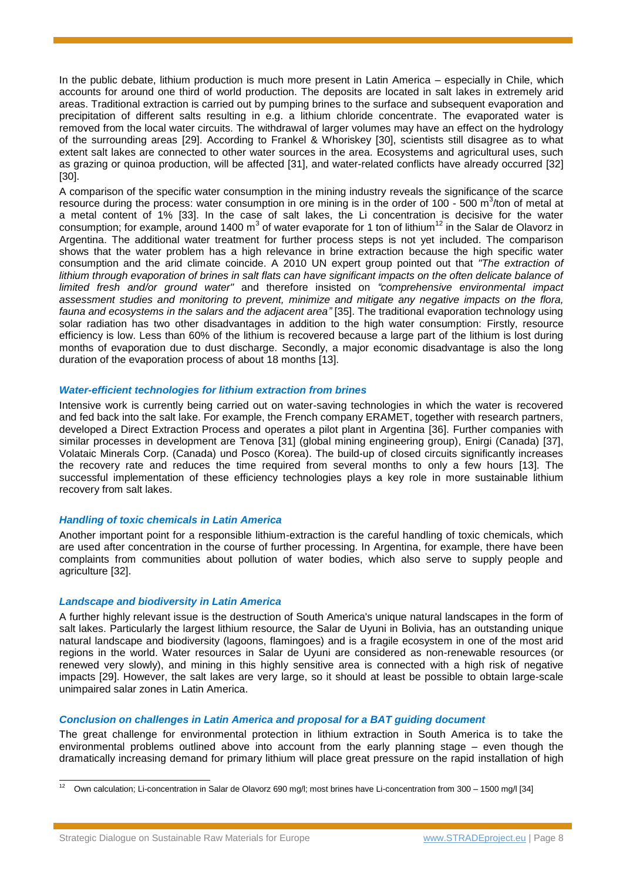In the public debate, lithium production is much more present in Latin America – especially in Chile, which accounts for around one third of world production. The deposits are located in salt lakes in extremely arid areas. Traditional extraction is carried out by pumping brines to the surface and subsequent evaporation and precipitation of different salts resulting in e.g. a lithium chloride concentrate. The evaporated water is removed from the local water circuits. The withdrawal of larger volumes may have an effect on the hydrology of the surrounding areas [29]. According to Frankel & Whoriskey [30], scientists still disagree as to what extent salt lakes are connected to other water sources in the area. Ecosystems and agricultural uses, such as grazing or quinoa production, will be affected [31], and water-related conflicts have already occurred [32] [30].

A comparison of the specific water consumption in the mining industry reveals the significance of the scarce resource during the process: water consumption in ore mining is in the order of 100 - 500 m<sup>3</sup>/ton of metal at a metal content of 1% [33]. In the case of salt lakes, the Li concentration is decisive for the water consumption; for example, around 1400  $m^3$  of water evaporate for 1 ton of lithium<sup>12</sup> in the Salar de Olavorz in Argentina. The additional water treatment for further process steps is not yet included. The comparison shows that the water problem has a high relevance in brine extraction because the high specific water consumption and the arid climate coincide. A 2010 UN expert group pointed out that *"The extraction of*  lithium through evaporation of brines in salt flats can have significant impacts on the often delicate balance of *limited fresh and/or ground water"* and therefore insisted on *"comprehensive environmental impact assessment studies and monitoring to prevent, minimize and mitigate any negative impacts on the flora, fauna and ecosystems in the salars and the adjacent area"* [35]. The traditional evaporation technology using solar radiation has two other disadvantages in addition to the high water consumption: Firstly, resource efficiency is low. Less than 60% of the lithium is recovered because a large part of the lithium is lost during months of evaporation due to dust discharge. Secondly, a major economic disadvantage is also the long duration of the evaporation process of about 18 months [13].

#### *Water-efficient technologies for lithium extraction from brines*

Intensive work is currently being carried out on water-saving technologies in which the water is recovered and fed back into the salt lake. For example, the French company ERAMET, together with research partners, developed a Direct Extraction Process and operates a pilot plant in Argentina [36]. Further companies with similar processes in development are Tenova [31] (global mining engineering group), Enirgi (Canada) [37], Volataic Minerals Corp. (Canada) und Posco (Korea). The build-up of closed circuits significantly increases the recovery rate and reduces the time required from several months to only a few hours [13]. The successful implementation of these efficiency technologies plays a key role in more sustainable lithium recovery from salt lakes.

## *Handling of toxic chemicals in Latin America*

Another important point for a responsible lithium-extraction is the careful handling of toxic chemicals, which are used after concentration in the course of further processing. In Argentina, for example, there have been complaints from communities about pollution of water bodies, which also serve to supply people and agriculture [32].

## *Landscape and biodiversity in Latin America*

A further highly relevant issue is the destruction of South America's unique natural landscapes in the form of salt lakes. Particularly the largest lithium resource, the Salar de Uyuni in Bolivia, has an outstanding unique natural landscape and biodiversity (lagoons, flamingoes) and is a fragile ecosystem in one of the most arid regions in the world. Water resources in Salar de Uyuni are considered as non-renewable resources (or renewed very slowly), and mining in this highly sensitive area is connected with a high risk of negative impacts [29]. However, the salt lakes are very large, so it should at least be possible to obtain large-scale unimpaired salar zones in Latin America.

## *Conclusion on challenges in Latin America and proposal for a BAT guiding document*

The great challenge for environmental protection in lithium extraction in South America is to take the environmental problems outlined above into account from the early planning stage – even though the dramatically increasing demand for primary lithium will place great pressure on the rapid installation of high

 $\overline{12}$ <sup>12</sup> Own calculation; Li-concentration in Salar de Olavorz 690 mg/l; most brines have Li-concentration from 300 – 1500 mg/l [34]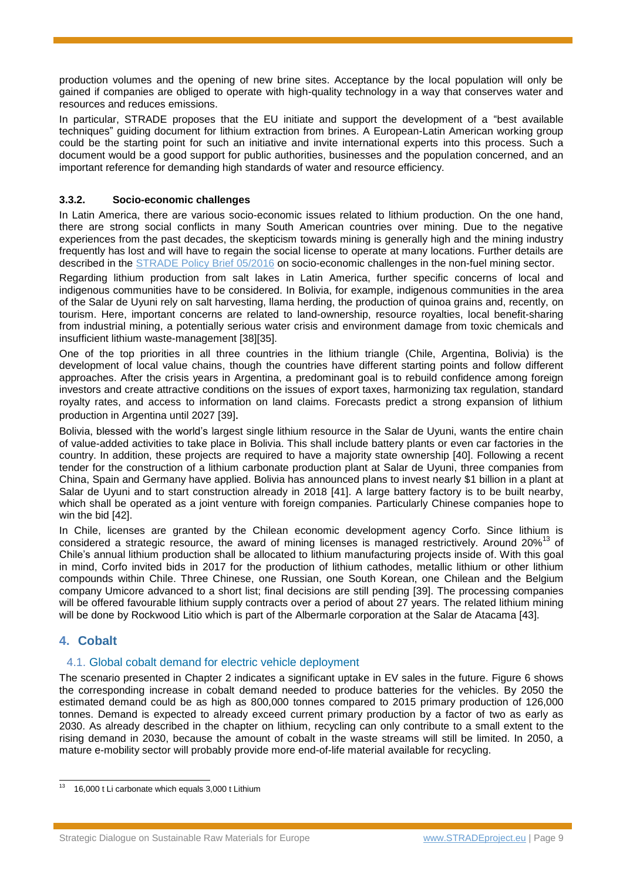production volumes and the opening of new brine sites. Acceptance by the local population will only be gained if companies are obliged to operate with high-quality technology in a way that conserves water and resources and reduces emissions.

In particular, STRADE proposes that the EU initiate and support the development of a "best available techniques" guiding document for lithium extraction from brines. A European-Latin American working group could be the starting point for such an initiative and invite international experts into this process. Such a document would be a good support for public authorities, businesses and the population concerned, and an important reference for demanding high standards of water and resource efficiency.

## **3.3.2. Socio-economic challenges**

In Latin America, there are various socio-economic issues related to lithium production. On the one hand, there are strong social conflicts in many South American countries over mining. Due to the negative experiences from the past decades, the skepticism towards mining is generally high and the mining industry frequently has lost and will have to regain the social license to operate at many locations. Further details are described in the [STRADE Policy Brief 05/2016](http://www.stradeproject.eu/fileadmin/user_upload/pdf/PolicyBrief_05-2016_Oct2016_FINAL.pdf) on socio-economic challenges in the non-fuel mining sector.

Regarding lithium production from salt lakes in Latin America, further specific concerns of local and indigenous communities have to be considered. In Bolivia, for example, indigenous communities in the area of the Salar de Uyuni rely on salt harvesting, llama herding, the production of quinoa grains and, recently, on tourism. Here, important concerns are related to land-ownership, resource royalties, local benefit-sharing from industrial mining, a potentially serious water crisis and environment damage from toxic chemicals and insufficient lithium waste-management [38][35].

One of the top priorities in all three countries in the lithium triangle (Chile, Argentina, Bolivia) is the development of local value chains, though the countries have different starting points and follow different approaches. After the crisis years in Argentina, a predominant goal is to rebuild confidence among foreign investors and create attractive conditions on the issues of export taxes, harmonizing tax regulation, standard royalty rates, and access to information on land claims. Forecasts predict a strong expansion of lithium production in Argentina until 2027 [39].

Bolivia, blessed with the world's largest single lithium resource in the Salar de Uyuni, wants the entire chain of value-added activities to take place in Bolivia. This shall include battery plants or even car factories in the country. In addition, these projects are required to have a majority state ownership [40]. Following a recent tender for the construction of a lithium carbonate production plant at Salar de Uyuni, three companies from China, Spain and Germany have applied. Bolivia has announced plans to invest nearly \$1 billion in a plant at Salar de Uyuni and to start construction already in 2018 [41]. A large battery factory is to be built nearby, which shall be operated as a joint venture with foreign companies. Particularly Chinese companies hope to win the bid [42].

In Chile, licenses are granted by the Chilean economic development agency Corfo. Since lithium is considered a strategic resource, the award of mining licenses is managed restrictively. Around  $20\%^{13}$  of Chile's annual lithium production shall be allocated to lithium manufacturing projects inside of. With this goal in mind, Corfo invited bids in 2017 for the production of lithium cathodes, metallic lithium or other lithium compounds within Chile. Three Chinese, one Russian, one South Korean, one Chilean and the Belgium company Umicore advanced to a short list; final decisions are still pending [39]. The processing companies will be offered favourable lithium supply contracts over a period of about 27 years. The related lithium mining will be done by Rockwood Litio which is part of the Albermarle corporation at the Salar de Atacama [43].

## **4. Cobalt**

-

## 4.1. Global cobalt demand for electric vehicle deployment

The scenario presented in Chapter 2 indicates a significant uptake in EV sales in the future. [Figure 6](#page-9-0) shows the corresponding increase in cobalt demand needed to produce batteries for the vehicles. By 2050 the estimated demand could be as high as 800,000 tonnes compared to 2015 primary production of 126,000 tonnes. Demand is expected to already exceed current primary production by a factor of two as early as 2030. As already described in the chapter on lithium, recycling can only contribute to a small extent to the rising demand in 2030, because the amount of cobalt in the waste streams will still be limited. In 2050, a mature e-mobility sector will probably provide more end-of-life material available for recycling.

<sup>&</sup>lt;sup>13</sup> 16,000 t Li carbonate which equals 3,000 t Lithium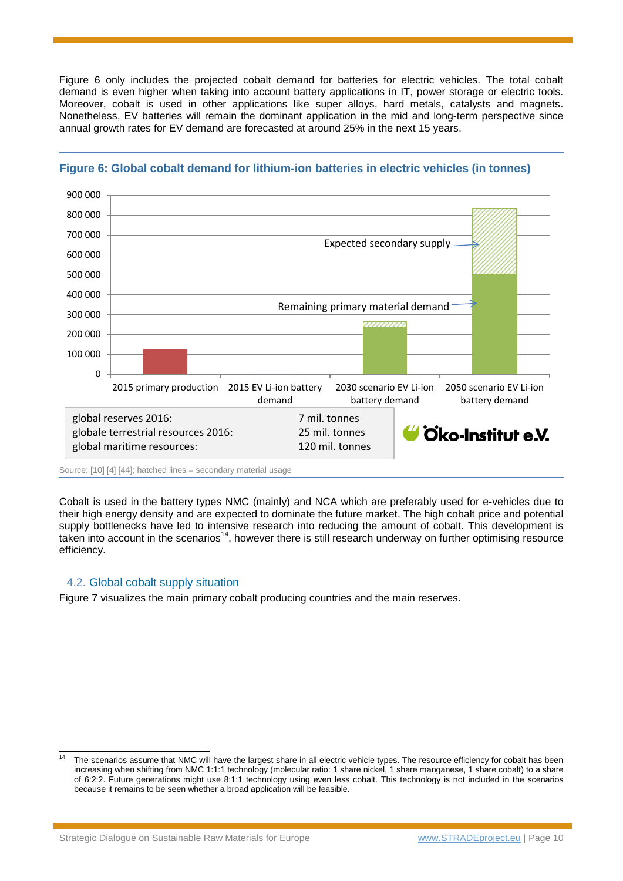[Figure 6](#page-9-0) only includes the projected cobalt demand for batteries for electric vehicles. The total cobalt demand is even higher when taking into account battery applications in IT, power storage or electric tools. Moreover, cobalt is used in other applications like super alloys, hard metals, catalysts and magnets. Nonetheless, EV batteries will remain the dominant application in the mid and long-term perspective since annual growth rates for EV demand are forecasted at around 25% in the next 15 years.



## <span id="page-9-0"></span>**Figure 6: Global cobalt demand for lithium-ion batteries in electric vehicles (in tonnes)**

Source: [10] [4] [44]; hatched lines = secondary material usage

Cobalt is used in the battery types NMC (mainly) and NCA which are preferably used for e-vehicles due to their high energy density and are expected to dominate the future market. The high cobalt price and potential supply bottlenecks have led to intensive research into reducing the amount of cobalt. This development is taken into account in the scenarios<sup>14</sup>, however there is still research underway on further optimising resource efficiency.

## 4.2. Global cobalt supply situation

 $\overline{a}$ 

[Figure 7](#page-10-0) visualizes the main primary cobalt producing countries and the main reserves.

The scenarios assume that NMC will have the largest share in all electric vehicle types. The resource efficiency for cobalt has been increasing when shifting from NMC 1:1:1 technology (molecular ratio: 1 share nickel, 1 share manganese, 1 share cobalt) to a share of 6:2:2. Future generations might use 8:1:1 technology using even less cobalt. This technology is not included in the scenarios because it remains to be seen whether a broad application will be feasible.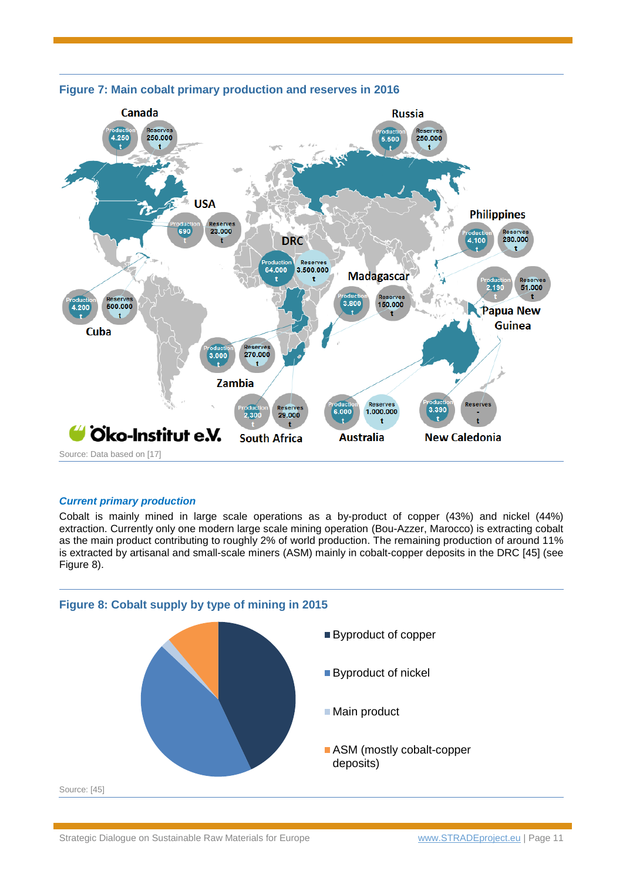

## <span id="page-10-0"></span>**Figure 7: Main cobalt primary production and reserves in 2016**

#### *Current primary production*

Cobalt is mainly mined in large scale operations as a by-product of copper (43%) and nickel (44%) extraction. Currently only one modern large scale mining operation (Bou-Azzer, Marocco) is extracting cobalt as the main product contributing to roughly 2% of world production. The remaining production of around 11% is extracted by artisanal and small-scale miners (ASM) mainly in cobalt-copper deposits in the DRC [45] (see [Figure 8\)](#page-10-1).

<span id="page-10-1"></span>![](_page_10_Figure_4.jpeg)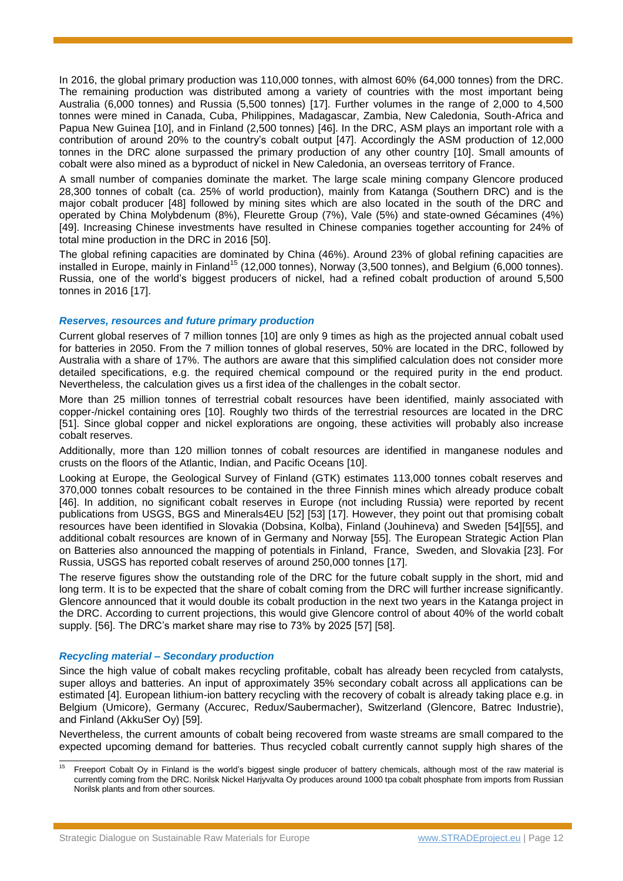In 2016, the global primary production was 110,000 tonnes, with almost 60% (64,000 tonnes) from the DRC. The remaining production was distributed among a variety of countries with the most important being Australia (6,000 tonnes) and Russia (5,500 tonnes) [17]. Further volumes in the range of 2,000 to 4,500 tonnes were mined in Canada, Cuba, Philippines, Madagascar, Zambia, New Caledonia, South-Africa and Papua New Guinea [10], and in Finland (2,500 tonnes) [46]. In the DRC, ASM plays an important role with a contribution of around 20% to the country's cobalt output [47]. Accordingly the ASM production of 12,000 tonnes in the DRC alone surpassed the primary production of any other country [10]. Small amounts of cobalt were also mined as a byproduct of nickel in New Caledonia, an overseas territory of France.

A small number of companies dominate the market. The large scale mining company Glencore produced 28,300 tonnes of cobalt (ca. 25% of world production), mainly from Katanga (Southern DRC) and is the major cobalt producer [48] followed by mining sites which are also located in the south of the DRC and operated by China Molybdenum (8%), Fleurette Group (7%), Vale (5%) and state-owned Gécamines (4%) [49]. Increasing Chinese investments have resulted in Chinese companies together accounting for 24% of total mine production in the DRC in 2016 [50].

The global refining capacities are dominated by China (46%). Around 23% of global refining capacities are installed in Europe, mainly in Finland<sup>15</sup> (12,000 tonnes), Norway (3,500 tonnes), and Belgium (6,000 tonnes). Russia, one of the world's biggest producers of nickel, had a refined cobalt production of around 5,500 tonnes in 2016 [17].

#### *Reserves, resources and future primary production*

Current global reserves of 7 million tonnes [10] are only 9 times as high as the projected annual cobalt used for batteries in 2050. From the 7 million tonnes of global reserves, 50% are located in the DRC, followed by Australia with a share of 17%. The authors are aware that this simplified calculation does not consider more detailed specifications, e.g. the required chemical compound or the required purity in the end product. Nevertheless, the calculation gives us a first idea of the challenges in the cobalt sector.

More than 25 million tonnes of terrestrial cobalt resources have been identified, mainly associated with copper-/nickel containing ores [10]. Roughly two thirds of the terrestrial resources are located in the DRC [51]. Since global copper and nickel explorations are ongoing, these activities will probably also increase cobalt reserves.

Additionally, more than 120 million tonnes of cobalt resources are identified in manganese nodules and crusts on the floors of the Atlantic, Indian, and Pacific Oceans [10].

Looking at Europe, the Geological Survey of Finland (GTK) estimates 113,000 tonnes cobalt reserves and 370,000 tonnes cobalt resources to be contained in the three Finnish mines which already produce cobalt [46]. In addition, no significant cobalt reserves in Europe (not including Russia) were reported by recent publications from USGS, BGS and Minerals4EU [52] [53] [17]. However, they point out that promising cobalt resources have been identified in Slovakia (Dobsina, Kolba), Finland (Jouhineva) and Sweden [54][55], and additional cobalt resources are known of in Germany and Norway [55]. The European Strategic Action Plan on Batteries also announced the mapping of potentials in Finland, France, Sweden, and Slovakia [23]. For Russia, USGS has reported cobalt reserves of around 250,000 tonnes [17].

The reserve figures show the outstanding role of the DRC for the future cobalt supply in the short, mid and long term. It is to be expected that the share of cobalt coming from the DRC will further increase significantly. Glencore announced that it would double its cobalt production in the next two years in the Katanga project in the DRC. According to current projections, this would give Glencore control of about 40% of the world cobalt supply. [56]. The DRC's market share may rise to 73% by 2025 [57] [58].

#### *Recycling material – Secondary production*

Since the high value of cobalt makes recycling profitable, cobalt has already been recycled from catalysts, super alloys and batteries. An input of approximately 35% secondary cobalt across all applications can be estimated [4]. European lithium-ion battery recycling with the recovery of cobalt is already taking place e.g. in Belgium (Umicore), Germany (Accurec, Redux/Saubermacher), Switzerland (Glencore, Batrec Industrie), and Finland (AkkuSer Oy) [59].

Nevertheless, the current amounts of cobalt being recovered from waste streams are small compared to the expected upcoming demand for batteries. Thus recycled cobalt currently cannot supply high shares of the

<sup>15</sup> <sup>15</sup> Freeport Cobalt Oy in Finland is the world's biggest single producer of battery chemicals, although most of the raw material is currently coming from the DRC. Norilsk Nickel Harjyvalta Oy produces around 1000 tpa cobalt phosphate from imports from Russian Norilsk plants and from other sources.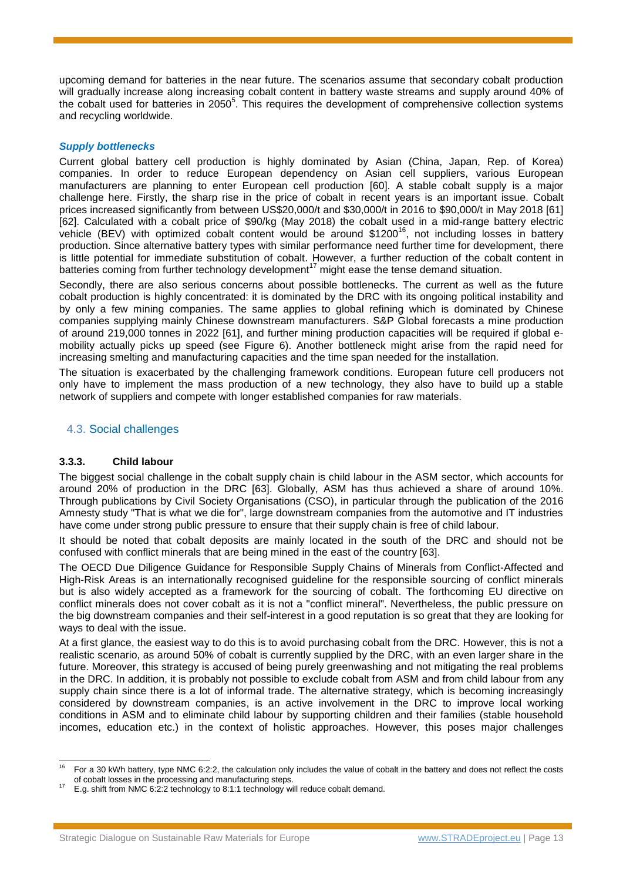upcoming demand for batteries in the near future. The scenarios assume that secondary cobalt production will gradually increase along increasing cobalt content in battery waste streams and supply around 40% of the cobalt used for batteries in 2[0](#page-3-1)50<sup>5</sup>. This requires the development of comprehensive collection systems and recycling worldwide.

#### *Supply bottlenecks*

Current global battery cell production is highly dominated by Asian (China, Japan, Rep. of Korea) companies. In order to reduce European dependency on Asian cell suppliers, various European manufacturers are planning to enter European cell production [60]. A stable cobalt supply is a major challenge here. Firstly, the sharp rise in the price of cobalt in recent years is an important issue. Cobalt prices increased significantly from between US\$20,000/t and \$30,000/t in 2016 to \$90,000/t in May 2018 [61] [62]. Calculated with a cobalt price of \$90/kg (May 2018) the cobalt used in a mid-range battery electric vehicle (BEV) with optimized cobalt content would be around \$1200<sup>16</sup>, not including losses in battery production. Since alternative battery types with similar performance need further time for development, there is little potential for immediate substitution of cobalt. However, a further reduction of the cobalt content in batteries coming from further technology development<sup>17</sup> might ease the tense demand situation.

Secondly, there are also serious concerns about possible bottlenecks. The current as well as the future cobalt production is highly concentrated: it is dominated by the DRC with its ongoing political instability and by only a few mining companies. The same applies to global refining which is dominated by Chinese companies supplying mainly Chinese downstream manufacturers. S&P Global forecasts a mine production of around 219,000 tonnes in 2022 [61], and further mining production capacities will be required if global emobility actually picks up speed (see [Figure 6\)](#page-9-0). Another bottleneck might arise from the rapid need for increasing smelting and manufacturing capacities and the time span needed for the installation.

The situation is exacerbated by the challenging framework conditions. European future cell producers not only have to implement the mass production of a new technology, they also have to build up a stable network of suppliers and compete with longer established companies for raw materials.

## 4.3. Social challenges

## **3.3.3. Child labour**

The biggest social challenge in the cobalt supply chain is child labour in the ASM sector, which accounts for around 20% of production in the DRC [63]. Globally, ASM has thus achieved a share of around 10%. Through publications by Civil Society Organisations (CSO), in particular through the publication of the 2016 Amnesty study "That is what we die for", large downstream companies from the automotive and IT industries have come under strong public pressure to ensure that their supply chain is free of child labour.

It should be noted that cobalt deposits are mainly located in the south of the DRC and should not be confused with conflict minerals that are being mined in the east of the country [63].

The OECD Due Diligence Guidance for Responsible Supply Chains of Minerals from Conflict-Affected and High-Risk Areas is an internationally recognised guideline for the responsible sourcing of conflict minerals but is also widely accepted as a framework for the sourcing of cobalt. The forthcoming EU directive on conflict minerals does not cover cobalt as it is not a "conflict mineral". Nevertheless, the public pressure on the big downstream companies and their self-interest in a good reputation is so great that they are looking for ways to deal with the issue.

At a first glance, the easiest way to do this is to avoid purchasing cobalt from the DRC. However, this is not a realistic scenario, as around 50% of cobalt is currently supplied by the DRC, with an even larger share in the future. Moreover, this strategy is accused of being purely greenwashing and not mitigating the real problems in the DRC. In addition, it is probably not possible to exclude cobalt from ASM and from child labour from any supply chain since there is a lot of informal trade. The alternative strategy, which is becoming increasingly considered by downstream companies, is an active involvement in the DRC to improve local working conditions in ASM and to eliminate child labour by supporting children and their families (stable household incomes, education etc.) in the context of holistic approaches. However, this poses major challenges

<sup>16</sup> <sup>16</sup> For a 30 kWh battery, type NMC 6:2:2, the calculation only includes the value of cobalt in the battery and does not reflect the costs of cobalt losses in the processing and manufacturing steps.

<sup>&</sup>lt;sup>17</sup> E.g. shift from NMC 6:2:2 technology to 8:1:1 technology will reduce cobalt demand.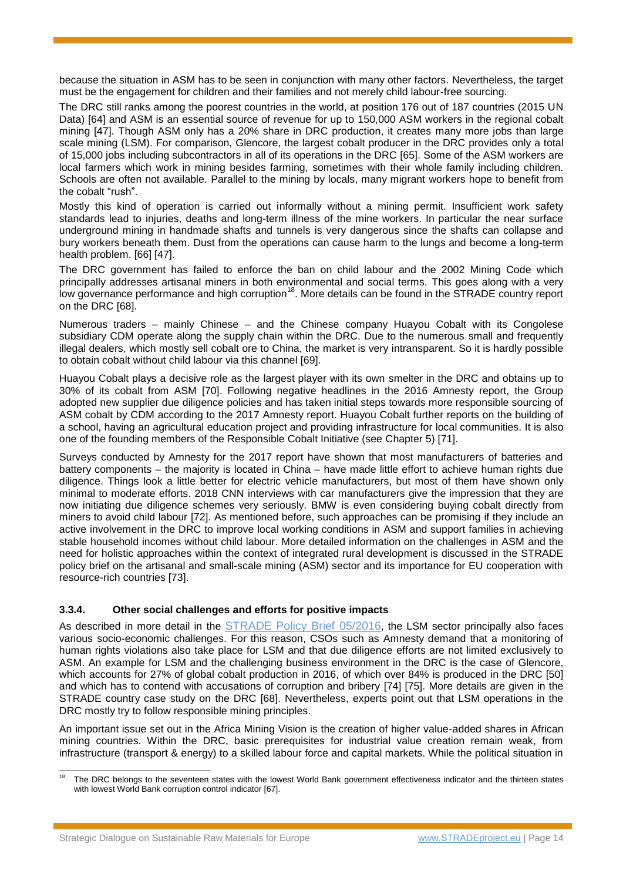because the situation in ASM has to be seen in conjunction with many other factors. Nevertheless, the target must be the engagement for children and their families and not merely child labour-free sourcing.

The DRC still ranks among the poorest countries in the world, at position 176 out of 187 countries (2015 UN Data) [64] and ASM is an essential source of revenue for up to 150,000 ASM workers in the regional cobalt mining [47]. Though ASM only has a 20% share in DRC production, it creates many more jobs than large scale mining (LSM). For comparison, Glencore, the largest cobalt producer in the DRC provides only a total of 15,000 jobs including subcontractors in all of its operations in the DRC [65]. Some of the ASM workers are local farmers which work in mining besides farming, sometimes with their whole family including children. Schools are often not available. Parallel to the mining by locals, many migrant workers hope to benefit from the cobalt "rush".

Mostly this kind of operation is carried out informally without a mining permit. Insufficient work safety standards lead to injuries, deaths and long-term illness of the mine workers. In particular the near surface underground mining in handmade shafts and tunnels is very dangerous since the shafts can collapse and bury workers beneath them. Dust from the operations can cause harm to the lungs and become a long-term health problem. [66] [47].

The DRC government has failed to enforce the ban on child labour and the 2002 Mining Code which principally addresses artisanal miners in both environmental and social terms. This goes along with a very low governance performance and high corruption<sup>18</sup>. More details can be found in the STRADE country report on the DRC [68].

Numerous traders – mainly Chinese – and the Chinese company Huayou Cobalt with its Congolese subsidiary CDM operate along the supply chain within the DRC. Due to the numerous small and frequently illegal dealers, which mostly sell cobalt ore to China, the market is very intransparent. So it is hardly possible to obtain cobalt without child labour via this channel [69].

Huayou Cobalt plays a decisive role as the largest player with its own smelter in the DRC and obtains up to 30% of its cobalt from ASM [70]. Following negative headlines in the 2016 Amnesty report, the Group adopted new supplier due diligence policies and has taken initial steps towards more responsible sourcing of ASM cobalt by CDM according to the 2017 Amnesty report. Huayou Cobalt further reports on the building of a school, having an agricultural education project and providing infrastructure for local communities. It is also one of the founding members of the Responsible Cobalt Initiative (see Chapter [5\)](#page-15-0) [71].

Surveys conducted by Amnesty for the 2017 report have shown that most manufacturers of batteries and battery components – the majority is located in China – have made little effort to achieve human rights due diligence. Things look a little better for electric vehicle manufacturers, but most of them have shown only minimal to moderate efforts. 2018 CNN interviews with car manufacturers give the impression that they are now initiating due diligence schemes very seriously. BMW is even considering buying cobalt directly from miners to avoid child labour [72]. As mentioned before, such approaches can be promising if they include an active involvement in the DRC to improve local working conditions in ASM and support families in achieving stable household incomes without child labour. More detailed information on the challenges in ASM and the need for holistic approaches within the context of integrated rural development is discussed in the STRADE policy brief on the artisanal and small-scale mining (ASM) sector and its importance for EU cooperation with resource-rich countries [73].

## **3.3.4. Other social challenges and efforts for positive impacts**

As described in more detail in the [STRADE Policy Brief](http://www.stradeproject.eu/fileadmin/user_upload/pdf/PolicyBrief_05-2016_Oct2016_FINAL.pdf) 05/2016, the LSM sector principally also faces various socio-economic challenges. For this reason, CSOs such as Amnesty demand that a monitoring of human rights violations also take place for LSM and that due diligence efforts are not limited exclusively to ASM. An example for LSM and the challenging business environment in the DRC is the case of Glencore, which accounts for 27% of global cobalt production in 2016, of which over 84% is produced in the DRC [50] and which has to contend with accusations of corruption and bribery [74] [75]. More details are given in the STRADE country case study on the DRC [68]. Nevertheless, experts point out that LSM operations in the DRC mostly try to follow responsible mining principles.

An important issue set out in the Africa Mining Vision is the creation of higher value-added shares in African mining countries. Within the DRC, basic prerequisites for industrial value creation remain weak, from infrastructure (transport & energy) to a skilled labour force and capital markets. While the political situation in

 $\overline{18}$ The DRC belongs to the seventeen states with the lowest World Bank government effectiveness indicator and the thirteen states with lowest World Bank corruption control indicator [67].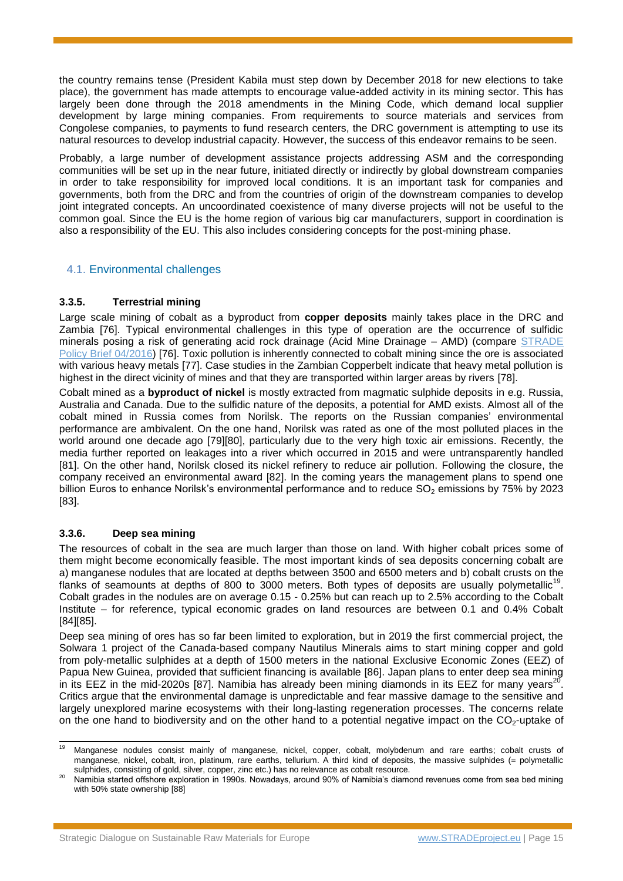the country remains tense (President Kabila must step down by December 2018 for new elections to take place), the government has made attempts to encourage value-added activity in its mining sector. This has largely been done through the 2018 amendments in the Mining Code, which demand local supplier development by large mining companies. From requirements to source materials and services from Congolese companies, to payments to fund research centers, the DRC government is attempting to use its natural resources to develop industrial capacity. However, the success of this endeavor remains to be seen.

Probably, a large number of development assistance projects addressing ASM and the corresponding communities will be set up in the near future, initiated directly or indirectly by global downstream companies in order to take responsibility for improved local conditions. It is an important task for companies and governments, both from the DRC and from the countries of origin of the downstream companies to develop joint integrated concepts. An uncoordinated coexistence of many diverse projects will not be useful to the common goal. Since the EU is the home region of various big car manufacturers, support in coordination is also a responsibility of the EU. This also includes considering concepts for the post-mining phase.

## 4.1. Environmental challenges

## **3.3.5. Terrestrial mining**

Large scale mining of cobalt as a byproduct from **copper deposits** mainly takes place in the DRC and Zambia [76]. Typical environmental challenges in this type of operation are the occurrence of sulfidic minerals posing a risk of generating acid rock drainage (Acid Mine Drainage – AMD) (compare STRADE [Policy Brief 04/2016\)](http://www.stradeproject.eu/fileadmin/user_upload/pdf/PolicyBrief_04-2016_Sep2016_FINAL.pdf) [76]. Toxic pollution is inherently connected to cobalt mining since the ore is associated with various heavy metals [77]. Case studies in the Zambian Copperbelt indicate that heavy metal pollution is highest in the direct vicinity of mines and that they are transported within larger areas by rivers [78].

Cobalt mined as a **byproduct of nickel** is mostly extracted from magmatic sulphide deposits in e.g. Russia, Australia and Canada. Due to the sulfidic nature of the deposits, a potential for AMD exists. Almost all of the cobalt mined in Russia comes from Norilsk. The reports on the Russian companies' environmental performance are ambivalent. On the one hand, Norilsk was rated as one of the most polluted places in the world around one decade ago [79][80], particularly due to the very high toxic air emissions. Recently, the media further reported on leakages into a river which occurred in 2015 and were untransparently handled [81]. On the other hand, Norilsk closed its nickel refinery to reduce air pollution. Following the closure, the company received an environmental award [82]. In the coming years the management plans to spend one billion Euros to enhance Norilsk's environmental performance and to reduce  $SO_2$  emissions by 75% by 2023 [83].

## **3.3.6. Deep sea mining**

The resources of cobalt in the sea are much larger than those on land. With higher cobalt prices some of them might become economically feasible. The most important kinds of sea deposits concerning cobalt are a) manganese nodules that are located at depths between 3500 and 6500 meters and b) cobalt crusts on the flanks of seamounts at depths of 800 to 3000 meters. Both types of deposits are usually polymetallic<sup>19</sup>. Cobalt grades in the nodules are on average 0.15 - 0.25% but can reach up to 2.5% according to the Cobalt Institute – for reference, typical economic grades on land resources are between 0.1 and 0.4% Cobalt [84][85].

Deep sea mining of ores has so far been limited to exploration, but in 2019 the first commercial project, the Solwara 1 project of the Canada-based company Nautilus Minerals aims to start mining copper and gold from poly-metallic sulphides at a depth of 1500 meters in the national Exclusive Economic Zones (EEZ) of Papua New Guinea, provided that sufficient financing is available [86]. Japan plans to enter deep sea mining in its EEZ in the mid-2020s [87]. Namibia has already been mining diamonds in its EEZ for many years<sup>20</sup> . Critics argue that the environmental damage is unpredictable and fear massive damage to the sensitive and largely unexplored marine ecosystems with their long-lasting regeneration processes. The concerns relate on the one hand to biodiversity and on the other hand to a potential negative impact on the  $CO<sub>2</sub>$ -uptake of

 $\overline{19}$ <sup>19</sup> Manganese nodules consist mainly of manganese, nickel, copper, cobalt, molybdenum and rare earths; cobalt crusts of manganese, nickel, cobalt, iron, platinum, rare earths, tellurium. A third kind of deposits, the massive sulphides (= polymetallic sulphides, consisting of gold, silver, copper, zinc etc.) has no relevance as cobalt resource.

<sup>&</sup>lt;sup>20</sup> Namibia started offshore exploration in 1990s. Nowadays, around 90% of Namibia's diamond revenues come from sea bed mining with 50% state ownership [88]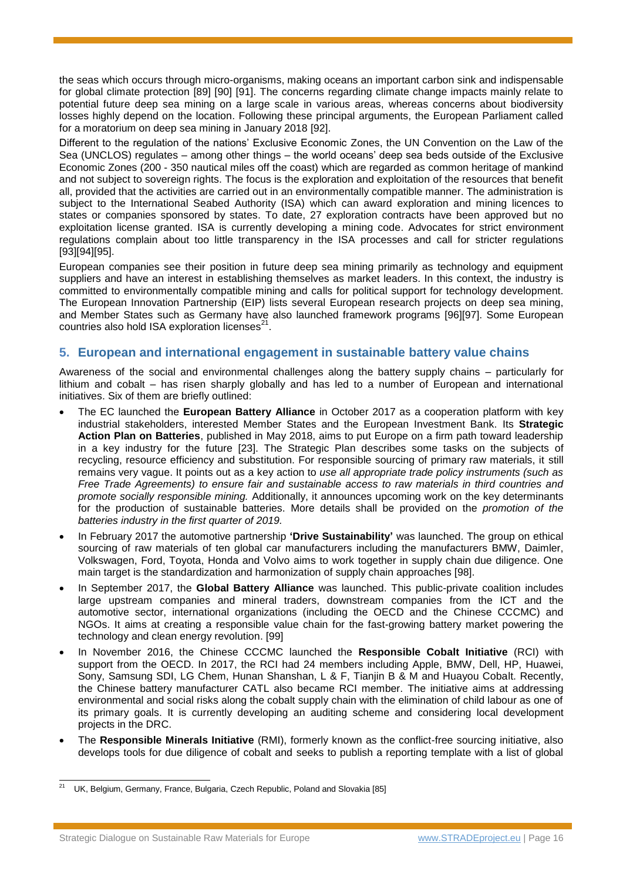the seas which occurs through micro-organisms, making oceans an important carbon sink and indispensable for global climate protection [89] [90] [91]. The concerns regarding climate change impacts mainly relate to potential future deep sea mining on a large scale in various areas, whereas concerns about biodiversity losses highly depend on the location. Following these principal arguments, the European Parliament called for a moratorium on deep sea mining in January 2018 [92].

Different to the regulation of the nations' Exclusive Economic Zones, the UN Convention on the Law of the Sea (UNCLOS) regulates – among other things – the world oceans' deep sea beds outside of the Exclusive Economic Zones (200 - 350 nautical miles off the coast) which are regarded as common heritage of mankind and not subject to sovereign rights. The focus is the exploration and exploitation of the resources that benefit all, provided that the activities are carried out in an environmentally compatible manner. The administration is subject to the International Seabed Authority (ISA) which can award exploration and mining licences to states or companies sponsored by states. To date, 27 exploration contracts have been approved but no exploitation license granted. ISA is currently developing a mining code. Advocates for strict environment regulations complain about too little transparency in the ISA processes and call for stricter regulations [93][94][95].

European companies see their position in future deep sea mining primarily as technology and equipment suppliers and have an interest in establishing themselves as market leaders. In this context, the industry is committed to environmentally compatible mining and calls for political support for technology development. The European Innovation Partnership (EIP) lists several European research projects on deep sea mining, and Member States such as Germany have also launched framework programs [96][97]. Some European countries also hold ISA exploration licenses $^{21}$ .

## <span id="page-15-0"></span>**5. European and international engagement in sustainable battery value chains**

Awareness of the social and environmental challenges along the battery supply chains – particularly for lithium and cobalt – has risen sharply globally and has led to a number of European and international initiatives. Six of them are briefly outlined:

- The EC launched the **European Battery Alliance** in October 2017 as a cooperation platform with key industrial stakeholders, interested Member States and the European Investment Bank. Its **Strategic Action Plan on Batteries**, published in May 2018, aims to put Europe on a firm path toward leadership in a key industry for the future [23]. The Strategic Plan describes some tasks on the subjects of recycling, resource efficiency and substitution. For responsible sourcing of primary raw materials, it still remains very vague. It points out as a key action to *use all appropriate trade policy instruments (such as Free Trade Agreements) to ensure fair and sustainable access to raw materials in third countries and promote socially responsible mining.* Additionally, it announces upcoming work on the key determinants for the production of sustainable batteries. More details shall be provided on the *promotion of the batteries industry in the first quarter of 2019.*
- In February 2017 the automotive partnership **'Drive Sustainability'** was launched. The group on ethical sourcing of raw materials of ten global car manufacturers including the manufacturers BMW, Daimler, Volkswagen, Ford, Toyota, Honda and Volvo aims to work together in supply chain due diligence. One main target is the standardization and harmonization of supply chain approaches [98].
- In September 2017, the **Global Battery Alliance** was launched. This public-private coalition includes large upstream companies and mineral traders, downstream companies from the ICT and the automotive sector, international organizations (including the OECD and the Chinese CCCMC) and NGOs. It aims at creating a responsible value chain for the fast-growing battery market powering the technology and clean energy revolution. [99]
- In November 2016, the Chinese CCCMC launched the **Responsible Cobalt Initiative** (RCI) with support from the OECD. In 2017, the RCI had 24 members including Apple, BMW, Dell, HP, Huawei, Sony, Samsung SDI, LG Chem, Hunan Shanshan, L & F, Tianjin B & M and Huayou Cobalt. Recently, the Chinese battery manufacturer CATL also became RCI member. The initiative aims at addressing environmental and social risks along the cobalt supply chain with the elimination of child labour as one of its primary goals. It is currently developing an auditing scheme and considering local development projects in the DRC.
- The **Responsible Minerals Initiative** (RMI), formerly known as the conflict-free sourcing initiative, also develops tools for due diligence of cobalt and seeks to publish a reporting template with a list of global

<sup>-</sup>UK, Belgium, Germany, France, Bulgaria, Czech Republic, Poland and Slovakia [85]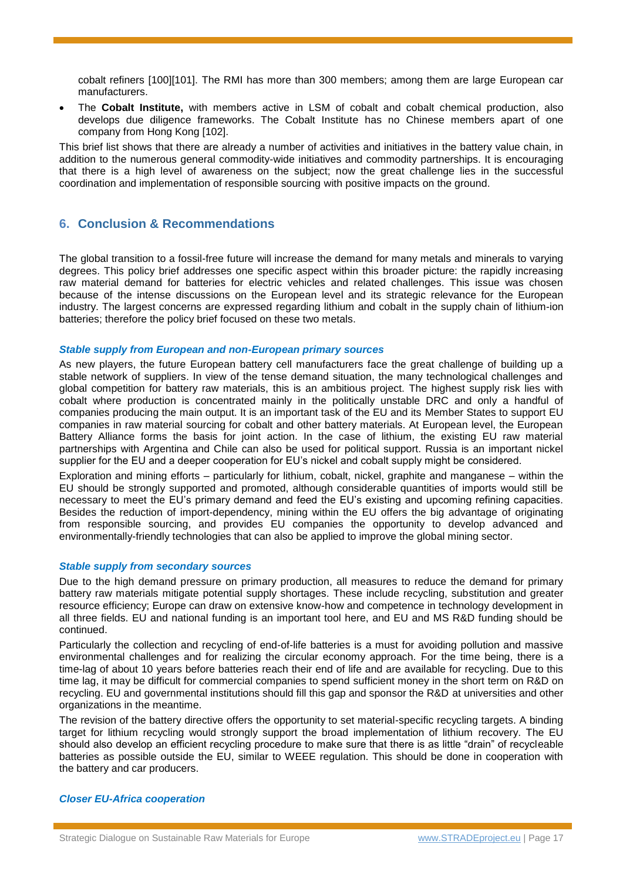cobalt refiners [100][101]. The RMI has more than 300 members; among them are large European car manufacturers.

 The **Cobalt Institute,** with members active in LSM of cobalt and cobalt chemical production, also develops due diligence frameworks. The Cobalt Institute has no Chinese members apart of one company from Hong Kong [102].

This brief list shows that there are already a number of activities and initiatives in the battery value chain, in addition to the numerous general commodity-wide initiatives and commodity partnerships. It is encouraging that there is a high level of awareness on the subject; now the great challenge lies in the successful coordination and implementation of responsible sourcing with positive impacts on the ground.

## **6. Conclusion & Recommendations**

The global transition to a fossil-free future will increase the demand for many metals and minerals to varying degrees. This policy brief addresses one specific aspect within this broader picture: the rapidly increasing raw material demand for batteries for electric vehicles and related challenges. This issue was chosen because of the intense discussions on the European level and its strategic relevance for the European industry. The largest concerns are expressed regarding lithium and cobalt in the supply chain of lithium-ion batteries; therefore the policy brief focused on these two metals.

#### *Stable supply from European and non-European primary sources*

As new players, the future European battery cell manufacturers face the great challenge of building up a stable network of suppliers. In view of the tense demand situation, the many technological challenges and global competition for battery raw materials, this is an ambitious project. The highest supply risk lies with cobalt where production is concentrated mainly in the politically unstable DRC and only a handful of companies producing the main output. It is an important task of the EU and its Member States to support EU companies in raw material sourcing for cobalt and other battery materials. At European level, the European Battery Alliance forms the basis for joint action. In the case of lithium, the existing EU raw material partnerships with Argentina and Chile can also be used for political support. Russia is an important nickel supplier for the EU and a deeper cooperation for EU's nickel and cobalt supply might be considered.

Exploration and mining efforts – particularly for lithium, cobalt, nickel, graphite and manganese – within the EU should be strongly supported and promoted, although considerable quantities of imports would still be necessary to meet the EU's primary demand and feed the EU's existing and upcoming refining capacities. Besides the reduction of import-dependency, mining within the EU offers the big advantage of originating from responsible sourcing, and provides EU companies the opportunity to develop advanced and environmentally-friendly technologies that can also be applied to improve the global mining sector.

#### *Stable supply from secondary sources*

Due to the high demand pressure on primary production, all measures to reduce the demand for primary battery raw materials mitigate potential supply shortages. These include recycling, substitution and greater resource efficiency; Europe can draw on extensive know-how and competence in technology development in all three fields. EU and national funding is an important tool here, and EU and MS R&D funding should be continued.

Particularly the collection and recycling of end-of-life batteries is a must for avoiding pollution and massive environmental challenges and for realizing the circular economy approach. For the time being, there is a time-lag of about 10 years before batteries reach their end of life and are available for recycling. Due to this time lag, it may be difficult for commercial companies to spend sufficient money in the short term on R&D on recycling. EU and governmental institutions should fill this gap and sponsor the R&D at universities and other organizations in the meantime.

The revision of the battery directive offers the opportunity to set material-specific recycling targets. A binding target for lithium recycling would strongly support the broad implementation of lithium recovery. The EU should also develop an efficient recycling procedure to make sure that there is as little "drain" of recycleable batteries as possible outside the EU, similar to WEEE regulation. This should be done in cooperation with the battery and car producers.

## *Closer EU-Africa cooperation*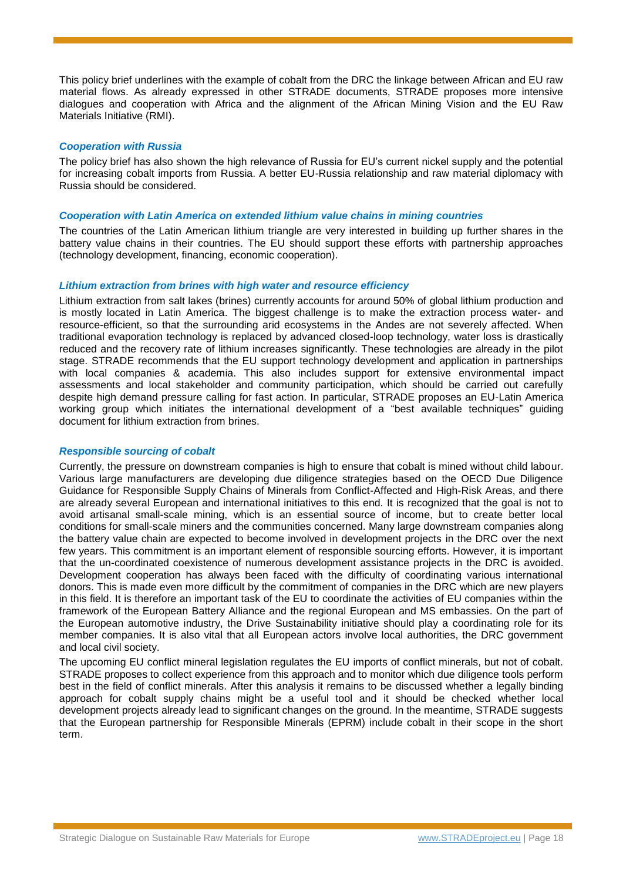This policy brief underlines with the example of cobalt from the DRC the linkage between African and EU raw material flows. As already expressed in other STRADE documents, STRADE proposes more intensive dialogues and cooperation with Africa and the alignment of the African Mining Vision and the EU Raw Materials Initiative (RMI).

#### *Cooperation with Russia*

The policy brief has also shown the high relevance of Russia for EU's current nickel supply and the potential for increasing cobalt imports from Russia. A better EU-Russia relationship and raw material diplomacy with Russia should be considered.

#### *Cooperation with Latin America on extended lithium value chains in mining countries*

The countries of the Latin American lithium triangle are very interested in building up further shares in the battery value chains in their countries. The EU should support these efforts with partnership approaches (technology development, financing, economic cooperation).

#### *Lithium extraction from brines with high water and resource efficiency*

Lithium extraction from salt lakes (brines) currently accounts for around 50% of global lithium production and is mostly located in Latin America. The biggest challenge is to make the extraction process water- and resource-efficient, so that the surrounding arid ecosystems in the Andes are not severely affected. When traditional evaporation technology is replaced by advanced closed-loop technology, water loss is drastically reduced and the recovery rate of lithium increases significantly. These technologies are already in the pilot stage. STRADE recommends that the EU support technology development and application in partnerships with local companies & academia. This also includes support for extensive environmental impact assessments and local stakeholder and community participation, which should be carried out carefully despite high demand pressure calling for fast action. In particular, STRADE proposes an EU-Latin America working group which initiates the international development of a "best available techniques" guiding document for lithium extraction from brines.

#### *Responsible sourcing of cobalt*

Currently, the pressure on downstream companies is high to ensure that cobalt is mined without child labour. Various large manufacturers are developing due diligence strategies based on the OECD Due Diligence Guidance for Responsible Supply Chains of Minerals from Conflict-Affected and High-Risk Areas, and there are already several European and international initiatives to this end. It is recognized that the goal is not to avoid artisanal small-scale mining, which is an essential source of income, but to create better local conditions for small-scale miners and the communities concerned. Many large downstream companies along the battery value chain are expected to become involved in development projects in the DRC over the next few years. This commitment is an important element of responsible sourcing efforts. However, it is important that the un-coordinated coexistence of numerous development assistance projects in the DRC is avoided. Development cooperation has always been faced with the difficulty of coordinating various international donors. This is made even more difficult by the commitment of companies in the DRC which are new players in this field. It is therefore an important task of the EU to coordinate the activities of EU companies within the framework of the European Battery Alliance and the regional European and MS embassies. On the part of the European automotive industry, the Drive Sustainability initiative should play a coordinating role for its member companies. It is also vital that all European actors involve local authorities, the DRC government and local civil society.

The upcoming EU conflict mineral legislation regulates the EU imports of conflict minerals, but not of cobalt. STRADE proposes to collect experience from this approach and to monitor which due diligence tools perform best in the field of conflict minerals. After this analysis it remains to be discussed whether a legally binding approach for cobalt supply chains might be a useful tool and it should be checked whether local development projects already lead to significant changes on the ground. In the meantime, STRADE suggests that the European partnership for Responsible Minerals (EPRM) include cobalt in their scope in the short term.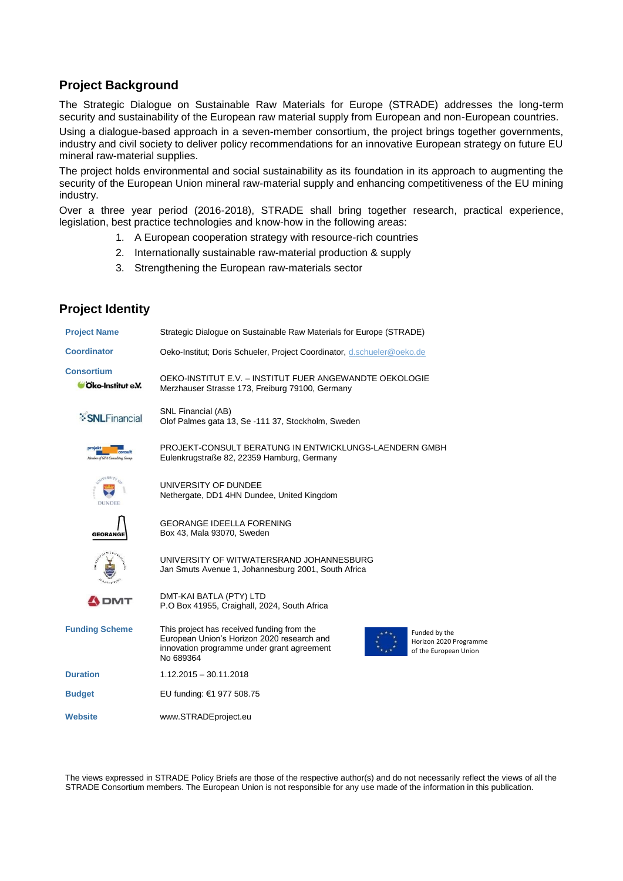## **Project Background**

The Strategic Dialogue on Sustainable Raw Materials for Europe (STRADE) addresses the long-term security and sustainability of the European raw material supply from European and non-European countries.

Using a dialogue-based approach in a seven-member consortium, the project brings together governments, industry and civil society to deliver policy recommendations for an innovative European strategy on future EU mineral raw-material supplies.

The project holds environmental and social sustainability as its foundation in its approach to augmenting the security of the European Union mineral raw-material supply and enhancing competitiveness of the EU mining industry.

Over a three year period (2016-2018), STRADE shall bring together research, practical experience, legislation, best practice technologies and know-how in the following areas:

- 1. A European cooperation strategy with resource-rich countries
- 2. Internationally sustainable raw-material production & supply
- 3. Strengthening the European raw-materials sector

## **Project Identity**

| <b>Project Name</b>                    | Strategic Dialogue on Sustainable Raw Materials for Europe (STRADE)                                                                                                                                                     |
|----------------------------------------|-------------------------------------------------------------------------------------------------------------------------------------------------------------------------------------------------------------------------|
| <b>Coordinator</b>                     | Oeko-Institut; Doris Schueler, Project Coordinator, d.schueler@oeko.de                                                                                                                                                  |
| <b>Consortium</b><br>Oko-Institut e.V. | OEKO-INSTITUT E.V. - INSTITUT FUER ANGEWANDTE OEKOLOGIE<br>Merzhauser Strasse 173, Freiburg 79100, Germany                                                                                                              |
| <b>:SNLFinancial</b>                   | SNL Financial (AB)<br>Olof Palmes gata 13, Se -111 37, Stockholm, Sweden                                                                                                                                                |
|                                        | PROJEKT-CONSULT BERATUNG IN ENTWICKLUNGS-LAENDERN GMBH<br>Eulenkrugstraße 82, 22359 Hamburg, Germany                                                                                                                    |
| <b>DUNDEE</b>                          | UNIVERSITY OF DUNDEE<br>Nethergate, DD1 4HN Dundee, United Kingdom                                                                                                                                                      |
| <b>GEORANGE</b>                        | <b>GEORANGE IDEELLA FORENING</b><br>Box 43, Mala 93070, Sweden                                                                                                                                                          |
|                                        | UNIVERSITY OF WITWATERSRAND JOHANNESBURG<br>Jan Smuts Avenue 1, Johannesburg 2001, South Africa                                                                                                                         |
| <b>ADMT</b>                            | DMT-KAI BATLA (PTY) LTD<br>P.O Box 41955, Craighall, 2024, South Africa                                                                                                                                                 |
| <b>Funding Scheme</b>                  | This project has received funding from the<br>Funded by the<br>European Union's Horizon 2020 research and<br>Horizon 2020 Programme<br>innovation programme under grant agreement<br>of the European Union<br>No 689364 |
| <b>Duration</b>                        | $1.12.2015 - 30.11.2018$                                                                                                                                                                                                |
| <b>Budget</b>                          | EU funding: €1 977 508.75                                                                                                                                                                                               |
| Website                                | www.STRADEproject.eu                                                                                                                                                                                                    |

The views expressed in STRADE Policy Briefs are those of the respective author(s) and do not necessarily reflect the views of all the STRADE Consortium members. The European Union is not responsible for any use made of the information in this publication.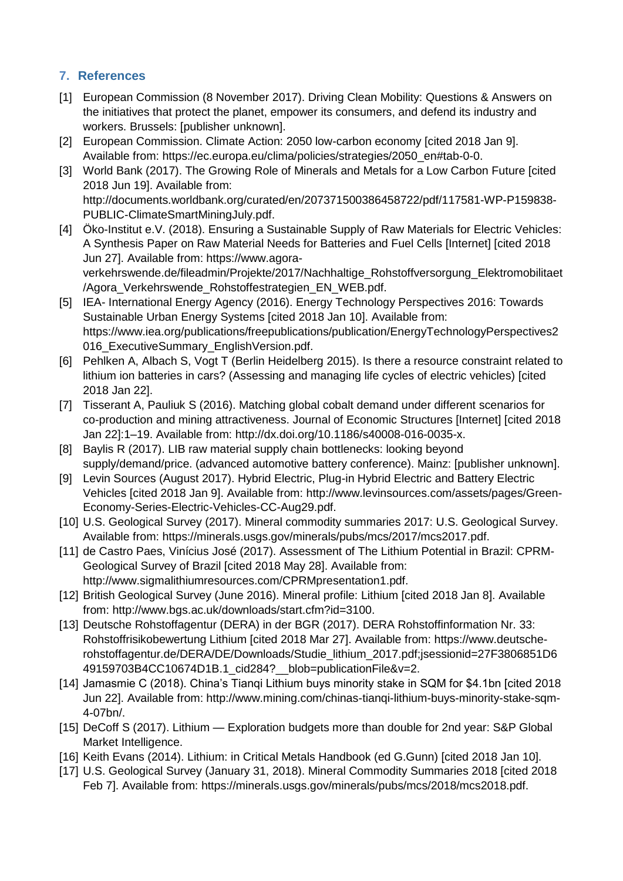## **7. References**

- [1] European Commission (8 November 2017). Driving Clean Mobility: Questions & Answers on the initiatives that protect the planet, empower its consumers, and defend its industry and workers. Brussels: [publisher unknown].
- [2] European Commission. Climate Action: 2050 low-carbon economy [cited 2018 Jan 9]. Available from: https://ec.europa.eu/clima/policies/strategies/2050\_en#tab-0-0.
- [3] World Bank (2017). The Growing Role of Minerals and Metals for a Low Carbon Future [cited 2018 Jun 19]. Available from: http://documents.worldbank.org/curated/en/207371500386458722/pdf/117581-WP-P159838- PUBLIC-ClimateSmartMiningJuly.pdf.
- [4] Öko-Institut e.V. (2018). Ensuring a Sustainable Supply of Raw Materials for Electric Vehicles: A Synthesis Paper on Raw Material Needs for Batteries and Fuel Cells [Internet] [cited 2018 Jun 27]. Available from: https://www.agoraverkehrswende.de/fileadmin/Projekte/2017/Nachhaltige\_Rohstoffversorgung\_Elektromobilitaet /Agora\_Verkehrswende\_Rohstoffestrategien\_EN\_WEB.pdf.
- [5] IEA- International Energy Agency (2016). Energy Technology Perspectives 2016: Towards Sustainable Urban Energy Systems [cited 2018 Jan 10]. Available from: https://www.iea.org/publications/freepublications/publication/EnergyTechnologyPerspectives2 016 ExecutiveSummary EnglishVersion.pdf.
- [6] Pehlken A, Albach S, Vogt T (Berlin Heidelberg 2015). Is there a resource constraint related to lithium ion batteries in cars? (Assessing and managing life cycles of electric vehicles) [cited 2018 Jan 22].
- [7] Tisserant A, Pauliuk S (2016). Matching global cobalt demand under different scenarios for co-production and mining attractiveness. Journal of Economic Structures [Internet] [cited 2018 Jan 22]:1–19. Available from: http://dx.doi.org/10.1186/s40008-016-0035-x.
- [8] Baylis R (2017). LIB raw material supply chain bottlenecks: looking beyond supply/demand/price. (advanced automotive battery conference). Mainz: [publisher unknown].
- [9] Levin Sources (August 2017). Hybrid Electric, Plug-in Hybrid Electric and Battery Electric Vehicles [cited 2018 Jan 9]. Available from: http://www.levinsources.com/assets/pages/Green-Economy-Series-Electric-Vehicles-CC-Aug29.pdf.
- [10] U.S. Geological Survey (2017). Mineral commodity summaries 2017: U.S. Geological Survey. Available from: https://minerals.usgs.gov/minerals/pubs/mcs/2017/mcs2017.pdf.
- [11] de Castro Paes, Vinícius José (2017). Assessment of The Lithium Potential in Brazil: CPRM-Geological Survey of Brazil [cited 2018 May 28]. Available from: http://www.sigmalithiumresources.com/CPRMpresentation1.pdf.
- [12] British Geological Survey (June 2016). Mineral profile: Lithium [cited 2018 Jan 8]. Available from: http://www.bgs.ac.uk/downloads/start.cfm?id=3100.
- [13] Deutsche Rohstoffagentur (DERA) in der BGR (2017). DERA Rohstoffinformation Nr. 33: Rohstoffrisikobewertung Lithium [cited 2018 Mar 27]. Available from: https://www.deutscherohstoffagentur.de/DERA/DE/Downloads/Studie\_lithium\_2017.pdf;jsessionid=27F3806851D6 49159703B4CC10674D1B.1\_cid284?\_\_blob=publicationFile&v=2.
- [14] Jamasmie C (2018). China's Tianqi Lithium buys minority stake in SQM for \$4.1bn [cited 2018 Jun 22]. Available from: http://www.mining.com/chinas-tianqi-lithium-buys-minority-stake-sqm-4-07bn/.
- [15] DeCoff S (2017). Lithium Exploration budgets more than double for 2nd year: S&P Global Market Intelligence.
- [16] Keith Evans (2014). Lithium: in Critical Metals Handbook (ed G.Gunn) [cited 2018 Jan 10].
- [17] U.S. Geological Survey (January 31, 2018). Mineral Commodity Summaries 2018 [cited 2018 Feb 7]. Available from: https://minerals.usgs.gov/minerals/pubs/mcs/2018/mcs2018.pdf.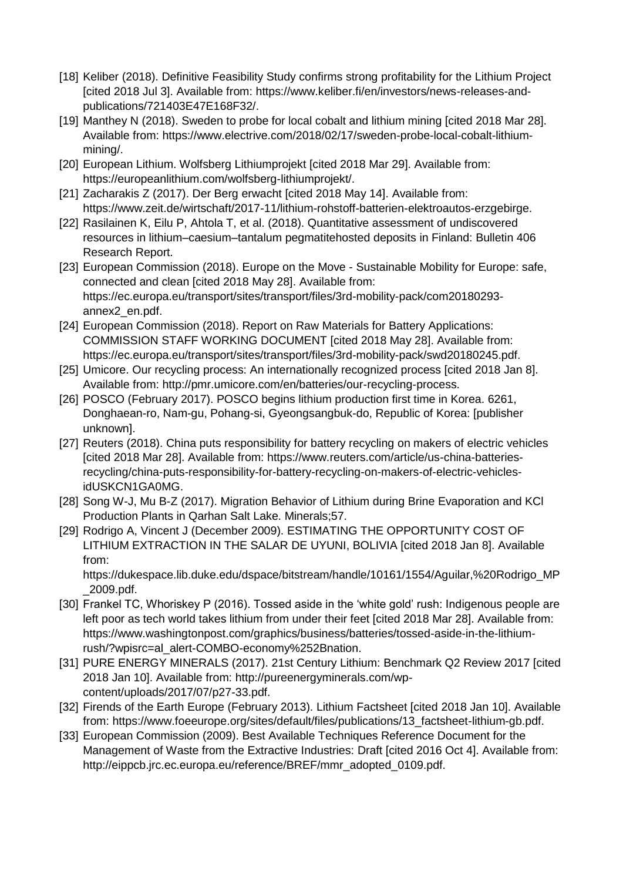- [18] Keliber (2018). Definitive Feasibility Study confirms strong profitability for the Lithium Project [cited 2018 Jul 3]. Available from: https://www.keliber.fi/en/investors/news-releases-andpublications/721403E47E168F32/.
- [19] Manthey N (2018). Sweden to probe for local cobalt and lithium mining [cited 2018 Mar 28]. Available from: https://www.electrive.com/2018/02/17/sweden-probe-local-cobalt-lithiummining/.
- [20] European Lithium. Wolfsberg Lithiumprojekt [cited 2018 Mar 29]. Available from: https://europeanlithium.com/wolfsberg-lithiumprojekt/.
- [21] Zacharakis Z (2017). Der Berg erwacht [cited 2018 May 14]. Available from: https://www.zeit.de/wirtschaft/2017-11/lithium-rohstoff-batterien-elektroautos-erzgebirge.
- [22] Rasilainen K, Eilu P, Ahtola T, et al. (2018). Quantitative assessment of undiscovered resources in lithium–caesium–tantalum pegmatitehosted deposits in Finland: Bulletin 406 Research Report.
- [23] European Commission (2018). Europe on the Move Sustainable Mobility for Europe: safe, connected and clean [cited 2018 May 28]. Available from: https://ec.europa.eu/transport/sites/transport/files/3rd-mobility-pack/com20180293 annex2\_en.pdf.
- [24] European Commission (2018). Report on Raw Materials for Battery Applications: COMMISSION STAFF WORKING DOCUMENT [cited 2018 May 28]. Available from: https://ec.europa.eu/transport/sites/transport/files/3rd-mobility-pack/swd20180245.pdf.
- [25] Umicore. Our recycling process: An internationally recognized process [cited 2018 Jan 8]. Available from: http://pmr.umicore.com/en/batteries/our-recycling-process.
- [26] POSCO (February 2017). POSCO begins lithium production first time in Korea. 6261, Donghaean-ro, Nam-gu, Pohang-si, Gyeongsangbuk-do, Republic of Korea: [publisher unknown].
- [27] Reuters (2018). China puts responsibility for battery recycling on makers of electric vehicles [cited 2018 Mar 28]. Available from: https://www.reuters.com/article/us-china-batteriesrecycling/china-puts-responsibility-for-battery-recycling-on-makers-of-electric-vehiclesidUSKCN1GA0MG.
- [28] Song W-J, Mu B-Z (2017). Migration Behavior of Lithium during Brine Evaporation and KCI Production Plants in Qarhan Salt Lake. Minerals;57.
- [29] Rodrigo A, Vincent J (December 2009). ESTIMATING THE OPPORTUNITY COST OF LITHIUM EXTRACTION IN THE SALAR DE UYUNI, BOLIVIA [cited 2018 Jan 8]. Available from:

https://dukespace.lib.duke.edu/dspace/bitstream/handle/10161/1554/Aguilar,%20Rodrigo\_MP \_2009.pdf.

- [30] Frankel TC, Whoriskey P (2016). Tossed aside in the 'white gold' rush: Indigenous people are left poor as tech world takes lithium from under their feet [cited 2018 Mar 28]. Available from: https://www.washingtonpost.com/graphics/business/batteries/tossed-aside-in-the-lithiumrush/?wpisrc=al\_alert-COMBO-economy%252Bnation.
- [31] PURE ENERGY MINERALS (2017). 21st Century Lithium: Benchmark Q2 Review 2017 [cited 2018 Jan 10]. Available from: http://pureenergyminerals.com/wpcontent/uploads/2017/07/p27-33.pdf.
- [32] Firends of the Earth Europe (February 2013). Lithium Factsheet [cited 2018 Jan 10]. Available from: https://www.foeeurope.org/sites/default/files/publications/13\_factsheet-lithium-gb.pdf.
- [33] European Commission (2009). Best Available Techniques Reference Document for the Management of Waste from the Extractive Industries: Draft [cited 2016 Oct 4]. Available from: http://eippcb.jrc.ec.europa.eu/reference/BREF/mmr\_adopted\_0109.pdf.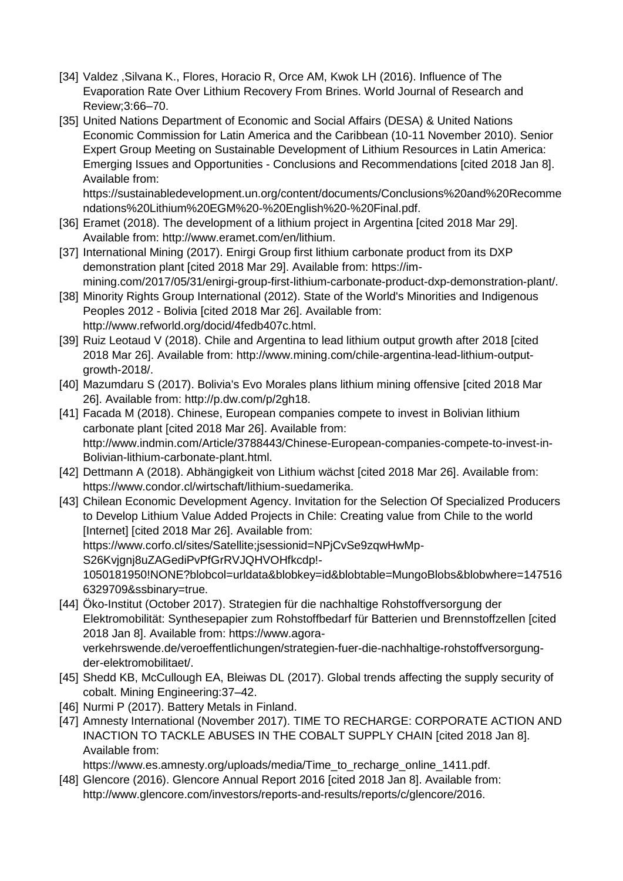- [34] Valdez ,Silvana K., Flores, Horacio R, Orce AM, Kwok LH (2016). Influence of The Evaporation Rate Over Lithium Recovery From Brines. World Journal of Research and Review;3:66–70.
- [35] United Nations Department of Economic and Social Affairs (DESA) & United Nations Economic Commission for Latin America and the Caribbean (10-11 November 2010). Senior Expert Group Meeting on Sustainable Development of Lithium Resources in Latin America: Emerging Issues and Opportunities - Conclusions and Recommendations [cited 2018 Jan 8]. Available from:

https://sustainabledevelopment.un.org/content/documents/Conclusions%20and%20Recomme ndations%20Lithium%20EGM%20-%20English%20-%20Final.pdf.

- [36] Eramet (2018). The development of a lithium project in Argentina [cited 2018 Mar 29]. Available from: http://www.eramet.com/en/lithium.
- [37] International Mining (2017). Enirgi Group first lithium carbonate product from its DXP demonstration plant [cited 2018 Mar 29]. Available from: https://immining.com/2017/05/31/enirgi-group-first-lithium-carbonate-product-dxp-demonstration-plant/.
- [38] Minority Rights Group International (2012). State of the World's Minorities and Indigenous Peoples 2012 - Bolivia [cited 2018 Mar 26]. Available from: http://www.refworld.org/docid/4fedb407c.html.
- [39] Ruiz Leotaud V (2018). Chile and Argentina to lead lithium output growth after 2018 [cited 2018 Mar 26]. Available from: http://www.mining.com/chile-argentina-lead-lithium-outputgrowth-2018/.
- [40] Mazumdaru S (2017). Bolivia's Evo Morales plans lithium mining offensive [cited 2018 Mar 26]. Available from: http://p.dw.com/p/2gh18.
- [41] Facada M (2018). Chinese, European companies compete to invest in Bolivian lithium carbonate plant [cited 2018 Mar 26]. Available from: http://www.indmin.com/Article/3788443/Chinese-European-companies-compete-to-invest-in-Bolivian-lithium-carbonate-plant.html.
- [42] Dettmann A (2018). Abhängigkeit von Lithium wächst [cited 2018 Mar 26]. Available from: https://www.condor.cl/wirtschaft/lithium-suedamerika.
- [43] Chilean Economic Development Agency. Invitation for the Selection Of Specialized Producers to Develop Lithium Value Added Projects in Chile: Creating value from Chile to the world [Internet] [cited 2018 Mar 26]. Available from: https://www.corfo.cl/sites/Satellite;jsessionid=NPjCvSe9zqwHwMp-S26Kvjgnj8uZAGediPvPfGrRVJQHVOHfkcdp!- 1050181950!NONE?blobcol=urldata&blobkey=id&blobtable=MungoBlobs&blobwhere=147516 6329709&ssbinary=true.
- [44] Öko-Institut (October 2017). Strategien für die nachhaltige Rohstoffversorgung der Elektromobilität: Synthesepapier zum Rohstoffbedarf für Batterien und Brennstoffzellen [cited 2018 Jan 8]. Available from: https://www.agoraverkehrswende.de/veroeffentlichungen/strategien-fuer-die-nachhaltige-rohstoffversorgungder-elektromobilitaet/.
- [45] Shedd KB, McCullough EA, Bleiwas DL (2017). Global trends affecting the supply security of cobalt. Mining Engineering:37–42.
- [46] Nurmi P (2017). Battery Metals in Finland.
- [47] Amnesty International (November 2017). TIME TO RECHARGE: CORPORATE ACTION AND INACTION TO TACKLE ABUSES IN THE COBALT SUPPLY CHAIN [cited 2018 Jan 8]. Available from:

https://www.es.amnesty.org/uploads/media/Time\_to\_recharge\_online\_1411.pdf. [48] Glencore (2016). Glencore Annual Report 2016 [cited 2018 Jan 8]. Available from:

http://www.glencore.com/investors/reports-and-results/reports/c/glencore/2016.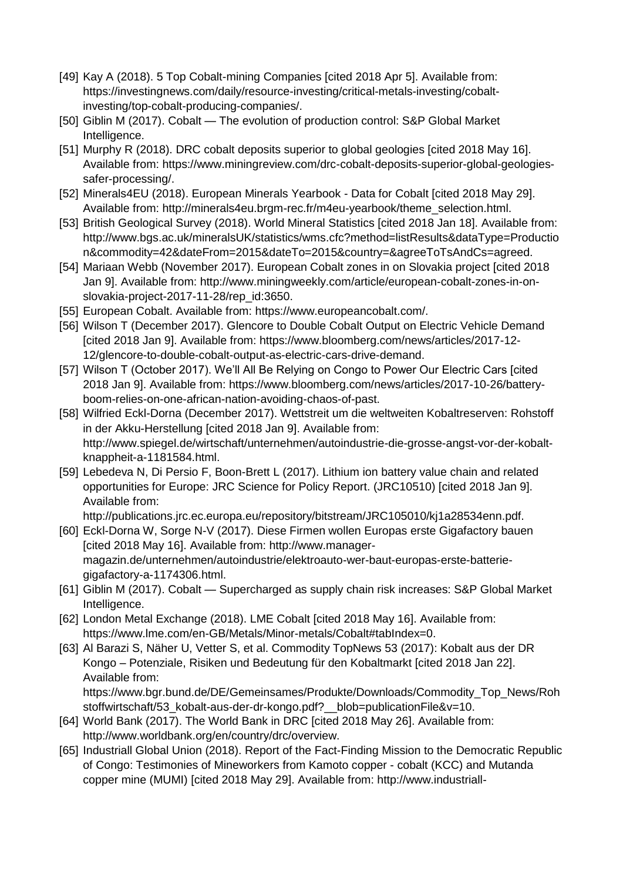- [49] Kay A (2018). 5 Top Cobalt-mining Companies [cited 2018 Apr 5]. Available from: https://investingnews.com/daily/resource-investing/critical-metals-investing/cobaltinvesting/top-cobalt-producing-companies/.
- [50] Giblin M (2017). Cobalt The evolution of production control: S&P Global Market Intelligence.
- [51] Murphy R (2018). DRC cobalt deposits superior to global geologies [cited 2018 May 16]. Available from: https://www.miningreview.com/drc-cobalt-deposits-superior-global-geologiessafer-processing/.
- [52] Minerals4EU (2018). European Minerals Yearbook Data for Cobalt [cited 2018 May 29]. Available from: http://minerals4eu.brgm-rec.fr/m4eu-yearbook/theme\_selection.html.
- [53] British Geological Survey (2018). World Mineral Statistics [cited 2018 Jan 18]. Available from: http://www.bgs.ac.uk/mineralsUK/statistics/wms.cfc?method=listResults&dataType=Productio n&commodity=42&dateFrom=2015&dateTo=2015&country=&agreeToTsAndCs=agreed.
- [54] Mariaan Webb (November 2017). European Cobalt zones in on Slovakia project [cited 2018 Jan 9]. Available from: http://www.miningweekly.com/article/european-cobalt-zones-in-onslovakia-project-2017-11-28/rep\_id:3650.
- [55] European Cobalt. Available from: https://www.europeancobalt.com/.
- [56] Wilson T (December 2017). Glencore to Double Cobalt Output on Electric Vehicle Demand [cited 2018 Jan 9]. Available from: https://www.bloomberg.com/news/articles/2017-12- 12/glencore-to-double-cobalt-output-as-electric-cars-drive-demand.
- [57] Wilson T (October 2017). We'll All Be Relying on Congo to Power Our Electric Cars [cited 2018 Jan 9]. Available from: https://www.bloomberg.com/news/articles/2017-10-26/batteryboom-relies-on-one-african-nation-avoiding-chaos-of-past.
- [58] Wilfried Eckl-Dorna (December 2017). Wettstreit um die weltweiten Kobaltreserven: Rohstoff in der Akku-Herstellung [cited 2018 Jan 9]. Available from: http://www.spiegel.de/wirtschaft/unternehmen/autoindustrie-die-grosse-angst-vor-der-kobaltknappheit-a-1181584.html.
- [59] Lebedeva N, Di Persio F, Boon-Brett L (2017). Lithium ion battery value chain and related opportunities for Europe: JRC Science for Policy Report. (JRC10510) [cited 2018 Jan 9]. Available from:

http://publications.jrc.ec.europa.eu/repository/bitstream/JRC105010/kj1a28534enn.pdf.

- [60] Eckl-Dorna W, Sorge N-V (2017). Diese Firmen wollen Europas erste Gigafactory bauen [cited 2018 May 16]. Available from: http://www.managermagazin.de/unternehmen/autoindustrie/elektroauto-wer-baut-europas-erste-batteriegigafactory-a-1174306.html.
- [61] Giblin M (2017). Cobalt Supercharged as supply chain risk increases: S&P Global Market Intelligence.
- [62] London Metal Exchange (2018). LME Cobalt [cited 2018 May 16]. Available from: https://www.lme.com/en-GB/Metals/Minor-metals/Cobalt#tabIndex=0.
- [63] Al Barazi S, Näher U, Vetter S, et al. Commodity TopNews 53 (2017): Kobalt aus der DR Kongo – Potenziale, Risiken und Bedeutung für den Kobaltmarkt [cited 2018 Jan 22]. Available from: https://www.bgr.bund.de/DE/Gemeinsames/Produkte/Downloads/Commodity\_Top\_News/Roh stoffwirtschaft/53\_kobalt-aus-der-dr-kongo.pdf?\_\_blob=publicationFile&v=10.
- [64] World Bank (2017). The World Bank in DRC [cited 2018 May 26]. Available from: http://www.worldbank.org/en/country/drc/overview.
- [65] Industriall Global Union (2018). Report of the Fact-Finding Mission to the Democratic Republic of Congo: Testimonies of Mineworkers from Kamoto copper - cobalt (KCC) and Mutanda copper mine (MUMI) [cited 2018 May 29]. Available from: http://www.industriall-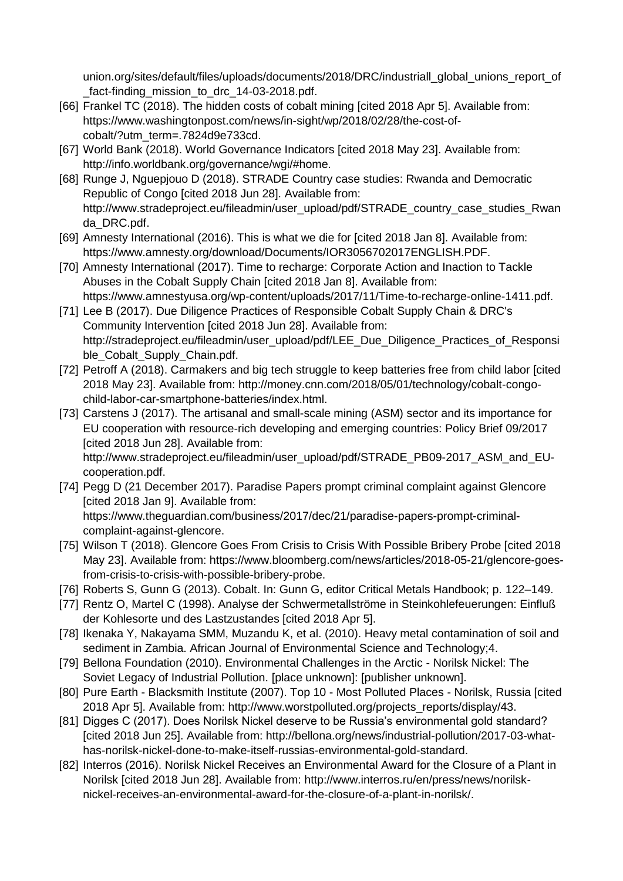union.org/sites/default/files/uploads/documents/2018/DRC/industriall\_global\_unions\_report\_of fact-finding mission to drc 14-03-2018.pdf.

- [66] Frankel TC (2018). The hidden costs of cobalt mining [cited 2018 Apr 5]. Available from: https://www.washingtonpost.com/news/in-sight/wp/2018/02/28/the-cost-ofcobalt/?utm\_term=.7824d9e733cd.
- [67] World Bank (2018). World Governance Indicators [cited 2018 May 23]. Available from: http://info.worldbank.org/governance/wgi/#home.
- [68] Runge J, Nguepjouo D (2018). STRADE Country case studies: Rwanda and Democratic Republic of Congo [cited 2018 Jun 28]. Available from: http://www.stradeproject.eu/fileadmin/user\_upload/pdf/STRADE\_country\_case\_studies\_Rwan da\_DRC.pdf.
- [69] Amnesty International (2016). This is what we die for [cited 2018 Jan 8]. Available from: https://www.amnesty.org/download/Documents/IOR3056702017ENGLISH.PDF.
- [70] Amnesty International (2017). Time to recharge: Corporate Action and Inaction to Tackle Abuses in the Cobalt Supply Chain [cited 2018 Jan 8]. Available from: https://www.amnestyusa.org/wp-content/uploads/2017/11/Time-to-recharge-online-1411.pdf.
- [71] Lee B (2017). Due Diligence Practices of Responsible Cobalt Supply Chain & DRC's Community Intervention [cited 2018 Jun 28]. Available from: http://stradeproject.eu/fileadmin/user\_upload/pdf/LEE\_Due\_Diligence\_Practices\_of\_Responsi ble Cobalt Supply Chain.pdf.
- [72] Petroff A (2018). Carmakers and big tech struggle to keep batteries free from child labor [cited 2018 May 23]. Available from: http://money.cnn.com/2018/05/01/technology/cobalt-congochild-labor-car-smartphone-batteries/index.html.
- [73] Carstens J (2017). The artisanal and small-scale mining (ASM) sector and its importance for EU cooperation with resource-rich developing and emerging countries: Policy Brief 09/2017 [cited 2018 Jun 28]. Available from:

http://www.stradeproject.eu/fileadmin/user\_upload/pdf/STRADE\_PB09-2017\_ASM\_and\_EUcooperation.pdf.

- [74] Pegg D (21 December 2017). Paradise Papers prompt criminal complaint against Glencore [cited 2018 Jan 9]. Available from: https://www.theguardian.com/business/2017/dec/21/paradise-papers-prompt-criminalcomplaint-against-glencore.
- [75] Wilson T (2018). Glencore Goes From Crisis to Crisis With Possible Bribery Probe [cited 2018] May 23]. Available from: https://www.bloomberg.com/news/articles/2018-05-21/glencore-goesfrom-crisis-to-crisis-with-possible-bribery-probe.
- [76] Roberts S, Gunn G (2013). Cobalt. In: Gunn G, editor Critical Metals Handbook; p. 122–149.
- [77] Rentz O, Martel C (1998). Analyse der Schwermetallströme in Steinkohlefeuerungen: Einfluß der Kohlesorte und des Lastzustandes [cited 2018 Apr 5].
- [78] Ikenaka Y, Nakayama SMM, Muzandu K, et al. (2010). Heavy metal contamination of soil and sediment in Zambia. African Journal of Environmental Science and Technology;4.
- [79] Bellona Foundation (2010). Environmental Challenges in the Arctic Norilsk Nickel: The Soviet Legacy of Industrial Pollution. [place unknown]: [publisher unknown].
- [80] Pure Earth Blacksmith Institute (2007). Top 10 Most Polluted Places Norilsk, Russia [cited 2018 Apr 5]. Available from: http://www.worstpolluted.org/projects\_reports/display/43.
- [81] Digges C (2017). Does Norilsk Nickel deserve to be Russia's environmental gold standard? [cited 2018 Jun 25]. Available from: http://bellona.org/news/industrial-pollution/2017-03-whathas-norilsk-nickel-done-to-make-itself-russias-environmental-gold-standard.
- [82] Interros (2016). Norilsk Nickel Receives an Environmental Award for the Closure of a Plant in Norilsk [cited 2018 Jun 28]. Available from: http://www.interros.ru/en/press/news/norilsknickel-receives-an-environmental-award-for-the-closure-of-a-plant-in-norilsk/.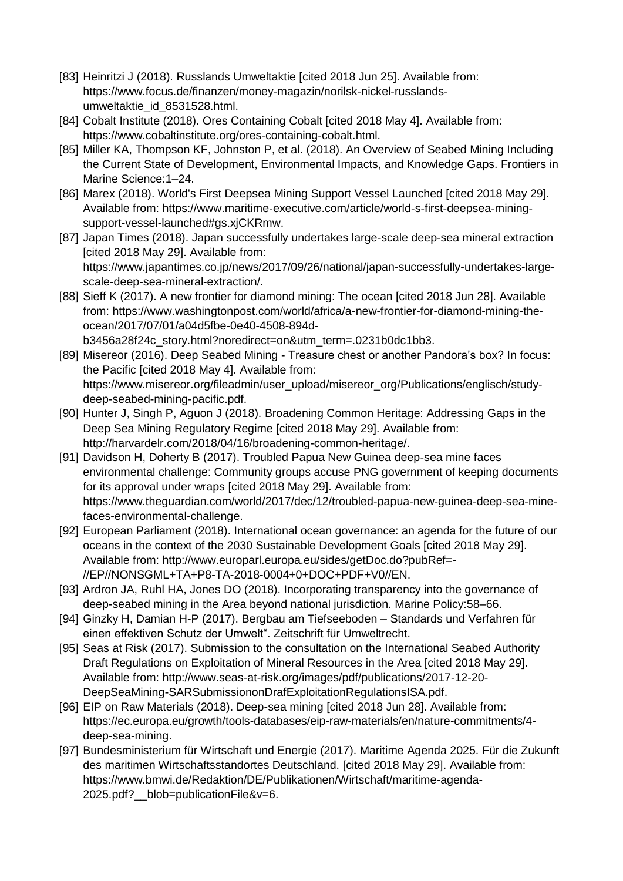- [83] Heinritzi J (2018). Russlands Umweltaktie [cited 2018 Jun 25]. Available from: https://www.focus.de/finanzen/money-magazin/norilsk-nickel-russlandsumweltaktie\_id\_8531528.html.
- [84] Cobalt Institute (2018). Ores Containing Cobalt [cited 2018 May 4]. Available from: https://www.cobaltinstitute.org/ores-containing-cobalt.html.
- [85] Miller KA, Thompson KF, Johnston P, et al. (2018). An Overview of Seabed Mining Including the Current State of Development, Environmental Impacts, and Knowledge Gaps. Frontiers in Marine Science:1–24.
- [86] Marex (2018). World's First Deepsea Mining Support Vessel Launched [cited 2018 May 29]. Available from: https://www.maritime-executive.com/article/world-s-first-deepsea-miningsupport-vessel-launched#gs.xjCKRmw.
- [87] Japan Times (2018). Japan successfully undertakes large-scale deep-sea mineral extraction [cited 2018 May 29]. Available from: https://www.japantimes.co.jp/news/2017/09/26/national/japan-successfully-undertakes-largescale-deep-sea-mineral-extraction/.
- [88] Sieff K (2017). A new frontier for diamond mining: The ocean [cited 2018 Jun 28]. Available from: https://www.washingtonpost.com/world/africa/a-new-frontier-for-diamond-mining-theocean/2017/07/01/a04d5fbe-0e40-4508-894db3456a28f24c\_story.html?noredirect=on&utm\_term=.0231b0dc1bb3.
- [89] Misereor (2016). Deep Seabed Mining Treasure chest or another Pandora's box? In focus: the Pacific [cited 2018 May 4]. Available from: https://www.misereor.org/fileadmin/user\_upload/misereor\_org/Publications/englisch/studydeep-seabed-mining-pacific.pdf.
- [90] Hunter J, Singh P, Aguon J (2018). Broadening Common Heritage: Addressing Gaps in the Deep Sea Mining Regulatory Regime [cited 2018 May 29]. Available from: http://harvardelr.com/2018/04/16/broadening-common-heritage/.
- [91] Davidson H, Doherty B (2017). Troubled Papua New Guinea deep-sea mine faces environmental challenge: Community groups accuse PNG government of keeping documents for its approval under wraps [cited 2018 May 29]. Available from: https://www.theguardian.com/world/2017/dec/12/troubled-papua-new-guinea-deep-sea-minefaces-environmental-challenge.
- [92] European Parliament (2018). International ocean governance: an agenda for the future of our oceans in the context of the 2030 Sustainable Development Goals [cited 2018 May 29]. Available from: http://www.europarl.europa.eu/sides/getDoc.do?pubRef=- //EP//NONSGML+TA+P8-TA-2018-0004+0+DOC+PDF+V0//EN.
- [93] Ardron JA, Ruhl HA, Jones DO (2018). Incorporating transparency into the governance of deep-seabed mining in the Area beyond national jurisdiction. Marine Policy:58–66.
- [94] Ginzky H, Damian H-P (2017). Bergbau am Tiefseeboden Standards und Verfahren für einen effektiven Schutz der Umwelt". Zeitschrift für Umweltrecht.
- [95] Seas at Risk (2017). Submission to the consultation on the International Seabed Authority Draft Regulations on Exploitation of Mineral Resources in the Area [cited 2018 May 29]. Available from: http://www.seas-at-risk.org/images/pdf/publications/2017-12-20- DeepSeaMining-SARSubmissiononDrafExploitationRegulationsISA.pdf.
- [96] EIP on Raw Materials (2018). Deep-sea mining [cited 2018 Jun 28]. Available from: https://ec.europa.eu/growth/tools-databases/eip-raw-materials/en/nature-commitments/4 deep-sea-mining.
- [97] Bundesministerium für Wirtschaft und Energie (2017). Maritime Agenda 2025. Für die Zukunft des maritimen Wirtschaftsstandortes Deutschland. [cited 2018 May 29]. Available from: https://www.bmwi.de/Redaktion/DE/Publikationen/Wirtschaft/maritime-agenda-2025.pdf?\_\_blob=publicationFile&v=6.